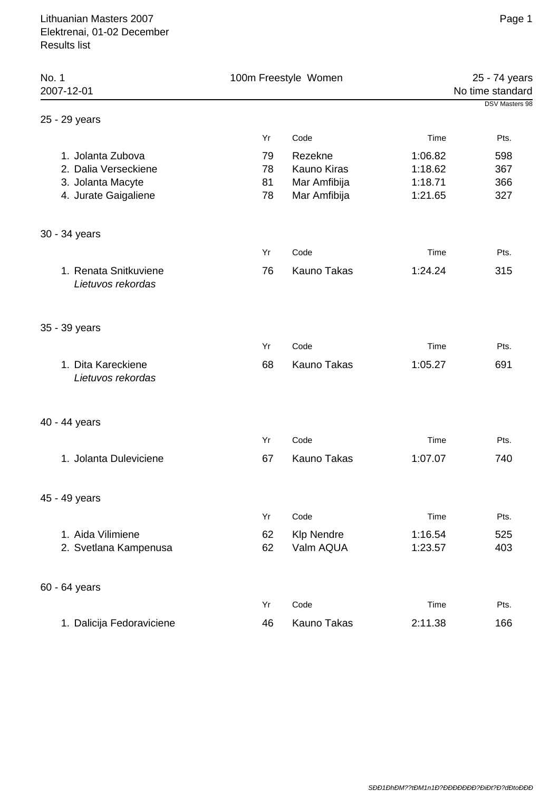| No. 1<br>2007-12-01                        | 100m Freestyle Women |                    | 25 - 74 years<br>No time standard |                |
|--------------------------------------------|----------------------|--------------------|-----------------------------------|----------------|
|                                            |                      |                    |                                   | DSV Masters 98 |
| 25 - 29 years                              |                      |                    |                                   |                |
|                                            | Yr                   | Code               | Time                              | Pts.           |
| 1. Jolanta Zubova                          | 79                   | Rezekne            | 1:06.82                           | 598            |
| 2. Dalia Verseckiene                       | 78                   | <b>Kauno Kiras</b> | 1:18.62                           | 367            |
| 3. Jolanta Macyte                          | 81                   | Mar Amfibija       | 1:18.71                           | 366            |
| 4. Jurate Gaigaliene                       | 78                   | Mar Amfibija       | 1:21.65                           | 327            |
| 30 - 34 years                              |                      |                    |                                   |                |
|                                            | Yr                   | Code               | Time                              | Pts.           |
| 1. Renata Snitkuviene<br>Lietuvos rekordas | 76                   | <b>Kauno Takas</b> | 1:24.24                           | 315            |
| 35 - 39 years                              |                      |                    |                                   |                |
|                                            | Yr                   | Code               | Time                              | Pts.           |
| 1. Dita Kareckiene<br>Lietuvos rekordas    | 68                   | <b>Kauno Takas</b> | 1:05.27                           | 691            |
| 40 - 44 years                              |                      |                    |                                   |                |
|                                            | Yr                   | Code               | Time                              | Pts.           |
| 1. Jolanta Duleviciene                     | 67                   | Kauno Takas        | 1:07.07                           | 740            |
| 45 - 49 years                              |                      |                    |                                   |                |
|                                            | Yr                   | Code               | Time                              | Pts.           |
| 1. Aida Vilimiene                          | 62                   | <b>Klp Nendre</b>  | 1:16.54                           | 525            |
| 2. Svetlana Kampenusa                      | 62                   | Valm AQUA          | 1:23.57                           | 403            |
| 60 - 64 years                              |                      |                    |                                   |                |
|                                            | Yr                   | Code               | Time                              | Pts.           |
| 1. Dalicija Fedoraviciene                  | 46                   | Kauno Takas        | 2:11.38                           | 166            |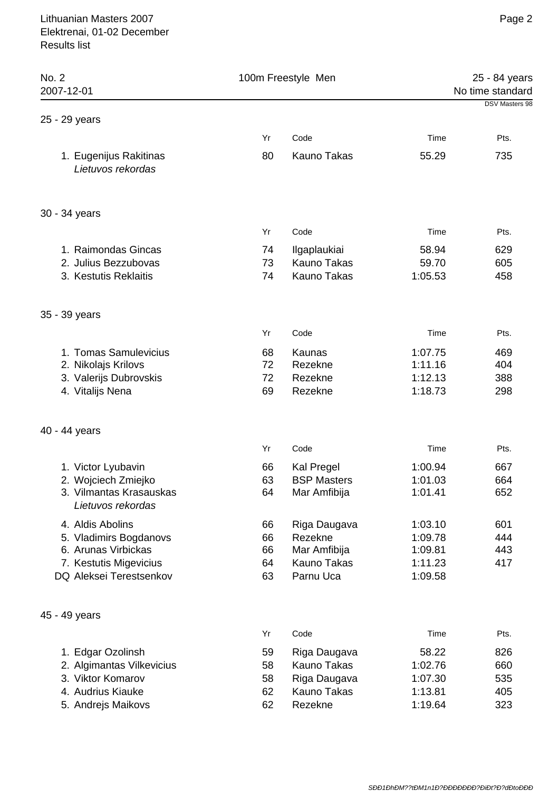|                            | 100m Freestyle Men                                                           |                                                     | 25 - 84 years<br>No time standard |  |
|----------------------------|------------------------------------------------------------------------------|-----------------------------------------------------|-----------------------------------|--|
|                            |                                                                              |                                                     | <b>DSV Masters 98</b>             |  |
| Yr                         | Code                                                                         | Time                                                | Pts.                              |  |
| 80                         | <b>Kauno Takas</b>                                                           | 55.29                                               | 735                               |  |
|                            |                                                                              |                                                     |                                   |  |
| Yr                         | Code                                                                         | Time                                                | Pts.                              |  |
| 74<br>73<br>74             | Ilgaplaukiai<br><b>Kauno Takas</b><br>Kauno Takas                            | 58.94<br>59.70<br>1:05.53                           | 629<br>605<br>458                 |  |
|                            |                                                                              |                                                     |                                   |  |
| Yr                         | Code                                                                         | Time                                                | Pts.                              |  |
| 68<br>72<br>72<br>69       | Kaunas<br>Rezekne<br>Rezekne<br>Rezekne                                      | 1:07.75<br>1:11.16<br>1:12.13<br>1:18.73            | 469<br>404<br>388<br>298          |  |
|                            |                                                                              |                                                     |                                   |  |
| Yr                         | Code                                                                         | Time                                                | Pts.                              |  |
| 66<br>63<br>64             | Kal Pregel<br><b>BSP Masters</b><br>Mar Amfibija                             | 1:00.94<br>1:01.03<br>1:01.41                       | 667<br>664<br>652                 |  |
| 66<br>66<br>66<br>64<br>63 | Riga Daugava<br>Rezekne<br>Mar Amfibija<br>Kauno Takas<br>Parnu Uca          | 1:03.10<br>1:09.78<br>1:09.81<br>1:11.23<br>1:09.58 | 601<br>444<br>443<br>417          |  |
|                            |                                                                              |                                                     |                                   |  |
| Yr                         | Code                                                                         | Time                                                | Pts.                              |  |
| 59<br>58<br>58<br>62<br>62 | Riga Daugava<br>Kauno Takas<br>Riga Daugava<br><b>Kauno Takas</b><br>Rezekne | 58.22<br>1:02.76<br>1:07.30<br>1:13.81<br>1:19.64   | 826<br>660<br>535<br>405<br>323   |  |
|                            |                                                                              |                                                     |                                   |  |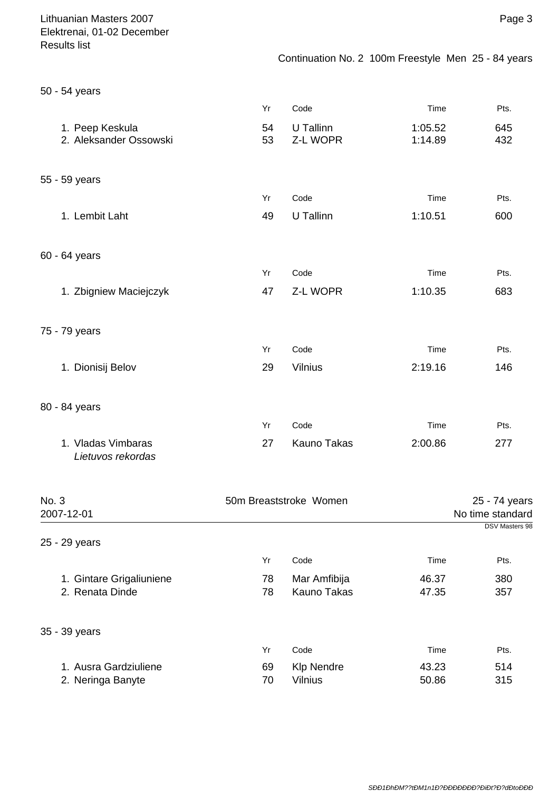Page 3

| 50 - 54 years                             |          |                       |                    |            |
|-------------------------------------------|----------|-----------------------|--------------------|------------|
|                                           | Yr       | Code                  | Time               | Pts.       |
| 1. Peep Keskula<br>2. Aleksander Ossowski | 54<br>53 | U Tallinn<br>Z-L WOPR | 1:05.52<br>1:14.89 | 645<br>432 |
| 55 - 59 years                             |          |                       |                    |            |
|                                           | Yr       | Code                  | Time               | Pts.       |
| 1. Lembit Laht                            | 49       | U Tallinn             | 1:10.51            | 600        |
| 60 - 64 years                             |          |                       |                    |            |
|                                           | Yr       | Code                  | Time               | Pts.       |
| 1. Zbigniew Maciejczyk                    | 47       | Z-L WOPR              | 1:10.35            | 683        |
| 75 - 79 years                             |          |                       |                    |            |
|                                           | Yr       | Code                  | Time               | Pts.       |
| 1. Dionisij Belov                         | 29       | Vilnius               | 2:19.16            | 146        |
| 80 - 84 years                             |          |                       |                    |            |
|                                           | Yr       | Code                  | Time               | Pts.       |
| 1. Vladas Vimbaras<br>Lietuvos rekordas   | 27       | <b>Kauno Takas</b>    | 2:00.86            | 277        |

| No. 3                    |    | 50m Breaststroke Women |       | 25 - 74 years         |
|--------------------------|----|------------------------|-------|-----------------------|
| 2007-12-01               |    |                        |       | No time standard      |
|                          |    |                        |       | <b>DSV Masters 98</b> |
| 25 - 29 years            |    |                        |       |                       |
|                          | Yr | Code                   | Time  | Pts.                  |
| 1. Gintare Grigaliuniene | 78 | Mar Amfibija           | 46.37 | 380                   |
| 2. Renata Dinde          | 78 | <b>Kauno Takas</b>     | 47.35 | 357                   |
| 35 - 39 years            |    |                        |       |                       |
|                          | Yr | Code                   | Time  | Pts.                  |
| 1. Ausra Gardziuliene    | 69 | <b>KIp Nendre</b>      | 43.23 | 514                   |
| 2. Neringa Banyte        | 70 | <b>Vilnius</b>         | 50.86 | 315                   |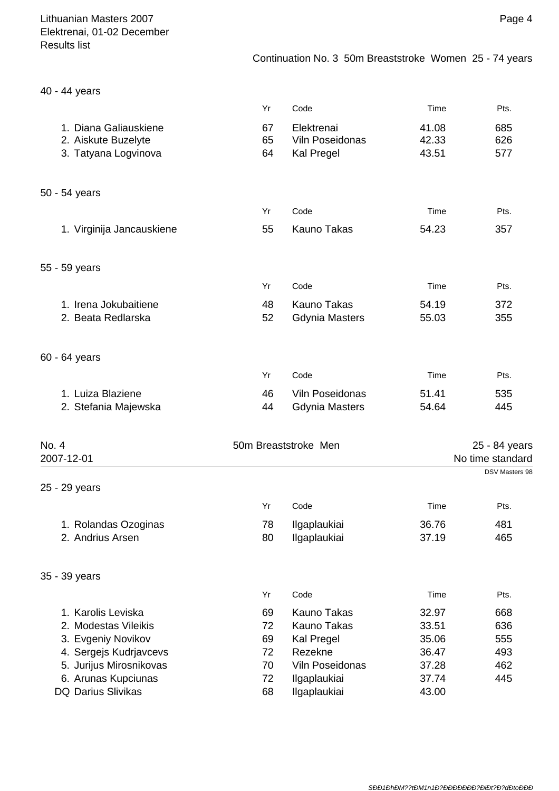40 - 44 years

|       |                           | Yr | Code                  | Time  | Pts.             |
|-------|---------------------------|----|-----------------------|-------|------------------|
|       | 1. Diana Galiauskiene     | 67 | Elektrenai            | 41.08 | 685              |
|       | 2. Aiskute Buzelyte       | 65 | Viln Poseidonas       | 42.33 | 626              |
|       | 3. Tatyana Logvinova      | 64 | <b>Kal Pregel</b>     | 43.51 | 577              |
|       |                           |    |                       |       |                  |
|       | 50 - 54 years             |    |                       |       |                  |
|       |                           | Yr | Code                  | Time  | Pts.             |
|       | 1. Virginija Jancauskiene | 55 | <b>Kauno Takas</b>    | 54.23 | 357              |
|       | 55 - 59 years             |    |                       |       |                  |
|       |                           | Yr | Code                  | Time  | Pts.             |
|       | 1. Irena Jokubaitiene     | 48 | <b>Kauno Takas</b>    | 54.19 | 372              |
|       | 2. Beata Redlarska        | 52 | <b>Gdynia Masters</b> | 55.03 | 355              |
|       |                           |    |                       |       |                  |
|       | 60 - 64 years             |    |                       |       |                  |
|       |                           | Yr | Code                  | Time  | Pts.             |
|       | 1. Luiza Blaziene         | 46 | Viln Poseidonas       | 51.41 | 535              |
|       | 2. Stefania Majewska      | 44 | <b>Gdynia Masters</b> | 54.64 | 445              |
| No. 4 |                           |    | 50m Breaststroke Men  |       | 25 - 84 years    |
|       | 2007-12-01                |    |                       |       | No time standard |
|       |                           |    |                       |       | DSV Masters 98   |
|       | 25 - 29 years             |    |                       |       |                  |
|       |                           | Yr | Code                  | Time  | Pts.             |
|       | 1. Rolandas Ozoginas      | 78 | Ilgaplaukiai          | 36.76 | 481              |
|       | 2. Andrius Arsen          | 80 | Ilgaplaukiai          | 37.19 | 465              |
|       | 35 - 39 years             |    |                       |       |                  |
|       |                           | Yr | Code                  | Time  | Pts.             |
|       | 1. Karolis Leviska        | 69 | <b>Kauno Takas</b>    | 32.97 | 668              |
|       | 2. Modestas Vileikis      | 72 | Kauno Takas           | 33.51 | 636              |
|       | 3. Evgeniy Novikov        | 69 | Kal Pregel            | 35.06 | 555              |
|       | 4. Sergejs Kudrjavcevs    | 72 | Rezekne               | 36.47 | 493              |
|       | 5. Jurijus Mirosnikovas   | 70 | Viln Poseidonas       | 37.28 | 462              |
|       | 6. Arunas Kupciunas       | 72 | Ilgaplaukiai          | 37.74 | 445              |
|       | DQ Darius Slivikas        | 68 | Ilgaplaukiai          | 43.00 |                  |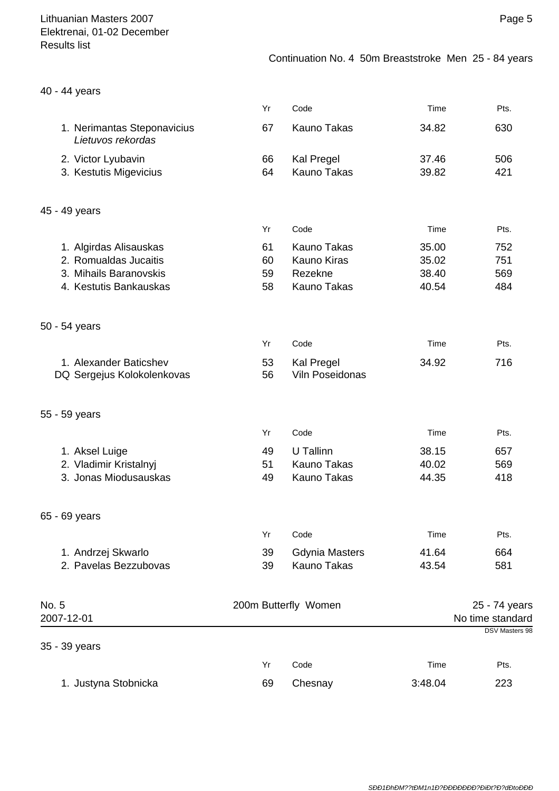| 40 - 44 years                                                                                       |                      |                                                                           |                                  |                                                            |
|-----------------------------------------------------------------------------------------------------|----------------------|---------------------------------------------------------------------------|----------------------------------|------------------------------------------------------------|
|                                                                                                     | Yr                   | Code                                                                      | Time                             | Pts.                                                       |
| 1. Nerimantas Steponavicius<br>Lietuvos rekordas                                                    | 67                   | <b>Kauno Takas</b>                                                        | 34.82                            | 630                                                        |
| 2. Victor Lyubavin<br>3. Kestutis Migevicius                                                        | 66<br>64             | Kal Pregel<br><b>Kauno Takas</b>                                          | 37.46<br>39.82                   | 506<br>421                                                 |
| 45 - 49 years                                                                                       |                      |                                                                           |                                  |                                                            |
|                                                                                                     | Yr                   | Code                                                                      | Time                             | Pts.                                                       |
| 1. Algirdas Alisauskas<br>2. Romualdas Jucaitis<br>3. Mihails Baranovskis<br>4. Kestutis Bankauskas | 61<br>60<br>59<br>58 | <b>Kauno Takas</b><br><b>Kauno Kiras</b><br>Rezekne<br><b>Kauno Takas</b> | 35.00<br>35.02<br>38.40<br>40.54 | 752<br>751<br>569<br>484                                   |
| 50 - 54 years                                                                                       |                      |                                                                           |                                  |                                                            |
|                                                                                                     | Yr                   | Code                                                                      | Time                             | Pts.                                                       |
| 1. Alexander Baticshev<br>DQ Sergejus Kolokolenkovas                                                | 53<br>56             | Kal Pregel<br>Viln Poseidonas                                             | 34.92                            | 716                                                        |
| 55 - 59 years                                                                                       |                      |                                                                           |                                  |                                                            |
|                                                                                                     | Yr                   | Code                                                                      | Time                             | Pts.                                                       |
| 1. Aksel Luige<br>2. Vladimir Kristalnyj<br>3. Jonas Miodusauskas                                   | 49<br>51<br>49       | U Tallinn<br><b>Kauno Takas</b><br><b>Kauno Takas</b>                     | 38.15<br>40.02<br>44.35          | 657<br>569<br>418                                          |
| 65 - 69 years                                                                                       |                      |                                                                           |                                  |                                                            |
|                                                                                                     | Yr                   | Code                                                                      | Time                             | Pts.                                                       |
| 1. Andrzej Skwarlo<br>2. Pavelas Bezzubovas                                                         | 39<br>39             | <b>Gdynia Masters</b><br>Kauno Takas                                      | 41.64<br>43.54                   | 664<br>581                                                 |
| No. 5<br>2007-12-01                                                                                 |                      | 200m Butterfly Women                                                      |                                  | 25 - 74 years<br>No time standard<br><b>DSV Masters 98</b> |
| 35 - 39 years                                                                                       |                      |                                                                           |                                  |                                                            |
|                                                                                                     | Yr                   | Code                                                                      | Time                             | Pts.                                                       |
| 1. Justyna Stobnicka                                                                                | 69                   | Chesnay                                                                   | 3:48.04                          | 223                                                        |

# Page 5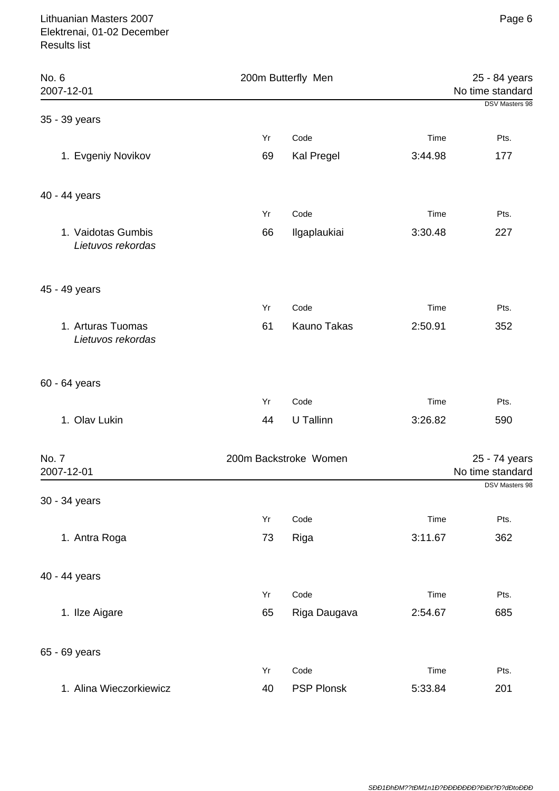| No. 6<br>2007-12-01                     |    | 200m Butterfly Men    |         |                                                     |
|-----------------------------------------|----|-----------------------|---------|-----------------------------------------------------|
|                                         |    |                       |         | No time standard<br><b>DSV Masters 98</b>           |
| 35 - 39 years                           |    |                       |         |                                                     |
|                                         | Yr | Code                  | Time    | Pts.                                                |
| 1. Evgeniy Novikov                      | 69 | Kal Pregel            | 3:44.98 | 177                                                 |
| 40 - 44 years                           |    |                       |         |                                                     |
|                                         | Yr | Code                  | Time    | Pts.                                                |
| 1. Vaidotas Gumbis<br>Lietuvos rekordas | 66 | Ilgaplaukiai          | 3:30.48 | 227                                                 |
| 45 - 49 years                           |    |                       |         |                                                     |
|                                         | Yr | Code                  | Time    | Pts.                                                |
| 1. Arturas Tuomas<br>Lietuvos rekordas  | 61 | Kauno Takas           | 2:50.91 | 352                                                 |
| 60 - 64 years                           |    |                       |         |                                                     |
|                                         | Yr | Code                  | Time    | Pts.                                                |
| 1. Olav Lukin                           | 44 | U Tallinn             | 3:26.82 | 590                                                 |
| No. 7<br>2007-12-01                     |    | 200m Backstroke Women |         | 25 - 74 years<br>No time standard<br>DSV Masters 98 |
| 30 - 34 years                           |    |                       |         |                                                     |
|                                         | Yr | Code                  | Time    | Pts.                                                |
| 1. Antra Roga                           | 73 | Riga                  | 3:11.67 | 362                                                 |
| 40 - 44 years                           |    |                       |         |                                                     |
|                                         | Yr | Code                  | Time    | Pts.                                                |
| 1. Ilze Aigare                          | 65 | Riga Daugava          | 2:54.67 | 685                                                 |
| 65 - 69 years                           |    |                       |         |                                                     |
|                                         | Yr | Code                  | Time    | Pts.                                                |
| 1. Alina Wieczorkiewicz                 | 40 | <b>PSP Plonsk</b>     | 5:33.84 | 201                                                 |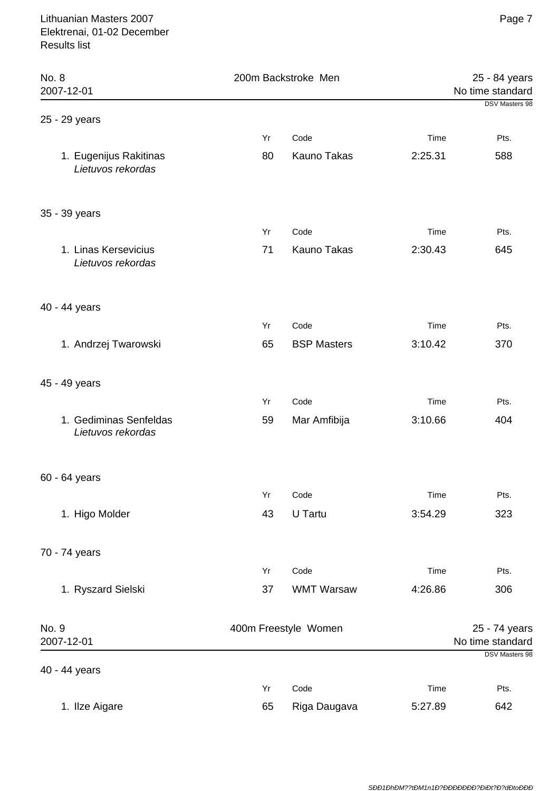| No. 8<br>2007-12-01                         | 200m Backstroke Men    |                    |         | 25 - 84 years<br>No time standard                          |  |
|---------------------------------------------|------------------------|--------------------|---------|------------------------------------------------------------|--|
| 25 - 29 years                               |                        |                    |         | <b>DSV Masters 98</b>                                      |  |
|                                             | Yr                     | Code               | Time    | Pts.                                                       |  |
| 1. Eugenijus Rakitinas<br>Lietuvos rekordas | 80                     | <b>Kauno Takas</b> | 2:25.31 | 588                                                        |  |
| 35 - 39 years                               |                        |                    |         |                                                            |  |
|                                             | Yr                     | Code               | Time    | Pts.                                                       |  |
| 1. Linas Kersevicius<br>Lietuvos rekordas   | 71                     | <b>Kauno Takas</b> | 2:30.43 | 645                                                        |  |
| 40 - 44 years                               |                        |                    |         |                                                            |  |
|                                             | Yr                     | Code               | Time    | Pts.                                                       |  |
| 1. Andrzej Twarowski                        | 65                     | <b>BSP Masters</b> | 3:10.42 | 370                                                        |  |
| 45 - 49 years                               |                        |                    |         |                                                            |  |
|                                             | Yr                     | Code               | Time    | Pts.                                                       |  |
| 1. Gediminas Senfeldas<br>Lietuvos rekordas | 59                     | Mar Amfibija       | 3:10.66 | 404                                                        |  |
| 60 - 64 years                               |                        |                    |         |                                                            |  |
|                                             | $\mathsf{Y}\mathsf{r}$ | Code               | Time    | Pts.                                                       |  |
| 1. Higo Molder                              | 43                     | U Tartu            | 3:54.29 | 323                                                        |  |
| 70 - 74 years                               |                        |                    |         |                                                            |  |
|                                             | Yr                     | Code               | Time    | Pts.                                                       |  |
| 1. Ryszard Sielski                          | 37                     | <b>WMT Warsaw</b>  | 4:26.86 | 306                                                        |  |
| No. 9<br>2007-12-01                         | 400m Freestyle Women   |                    |         | 25 - 74 years<br>No time standard<br><b>DSV Masters 98</b> |  |
| 40 - 44 years                               |                        |                    |         |                                                            |  |
|                                             | Yr                     | Code               | Time    | Pts.                                                       |  |
| 1. Ilze Aigare                              | 65                     | Riga Daugava       | 5:27.89 | 642                                                        |  |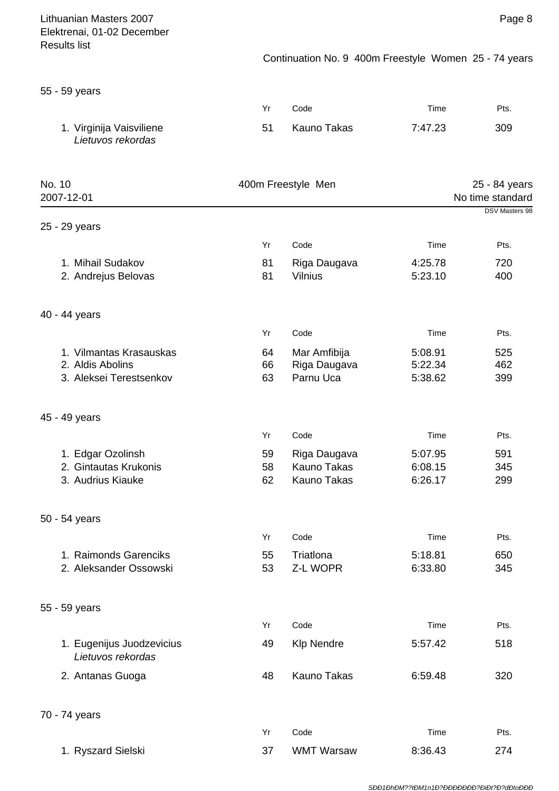| Lithuanian Masters 2007<br>Elektrenai, 01-02 December                  |                |                                                       |                               | Page 8                            |
|------------------------------------------------------------------------|----------------|-------------------------------------------------------|-------------------------------|-----------------------------------|
| <b>Results list</b>                                                    |                | Continuation No. 9 400m Freestyle Women 25 - 74 years |                               |                                   |
| 55 - 59 years                                                          |                |                                                       |                               |                                   |
|                                                                        | Yr             | Code                                                  | Time                          | Pts.                              |
| 1. Virginija Vaisviliene<br>Lietuvos rekordas                          | 51             | <b>Kauno Takas</b>                                    | 7:47.23                       | 309                               |
| No. 10<br>2007-12-01                                                   |                | 400m Freestyle Men                                    |                               | 25 - 84 years<br>No time standard |
| 25 - 29 years                                                          |                |                                                       |                               | DSV Masters 98                    |
|                                                                        | Yr             | Code                                                  | Time                          | Pts.                              |
| 1. Mihail Sudakov<br>2. Andrejus Belovas                               | 81<br>81       | Riga Daugava<br><b>Vilnius</b>                        | 4:25.78<br>5:23.10            | 720<br>400                        |
| 40 - 44 years                                                          |                |                                                       |                               |                                   |
|                                                                        | Yr             | Code                                                  | Time                          | Pts.                              |
| 1. Vilmantas Krasauskas<br>2. Aldis Abolins<br>3. Aleksei Terestsenkov | 64<br>66<br>63 | Mar Amfibija<br>Riga Daugava<br>Parnu Uca             | 5:08.91<br>5:22.34<br>5:38.62 | 525<br>462<br>399                 |
| 45 - 49 years                                                          |                |                                                       |                               |                                   |
|                                                                        | Yr             | Code                                                  | Time                          | Pts.                              |
| 1. Edgar Ozolinsh                                                      | 59             | Riga Daugava                                          | 5:07.95                       | 591                               |
| 2. Gintautas Krukonis<br>3. Audrius Kiauke                             | 58<br>62       | <b>Kauno Takas</b><br><b>Kauno Takas</b>              | 6:08.15<br>6:26.17            | 345<br>299                        |
| 50 - 54 years                                                          |                |                                                       |                               |                                   |
|                                                                        | Yr             | Code                                                  | Time                          | Pts.                              |
| 1. Raimonds Garenciks<br>2. Aleksander Ossowski                        | 55<br>53       | Triatlona<br>Z-L WOPR                                 | 5:18.81<br>6:33.80            | 650<br>345                        |
| 55 - 59 years                                                          |                |                                                       |                               |                                   |
|                                                                        | Yr             | Code                                                  | Time                          | Pts.                              |
| 1. Eugenijus Juodzevicius<br>Lietuvos rekordas                         | 49             | <b>Klp Nendre</b>                                     | 5:57.42                       | 518                               |
| 2. Antanas Guoga                                                       | 48             | <b>Kauno Takas</b>                                    | 6:59.48                       | 320                               |
| 70 - 74 years                                                          |                |                                                       |                               |                                   |
|                                                                        | Yr             | Code                                                  | Time                          | Pts.                              |
| 1. Ryszard Sielski                                                     | 37             | <b>WMT Warsaw</b>                                     | 8:36.43                       | 274                               |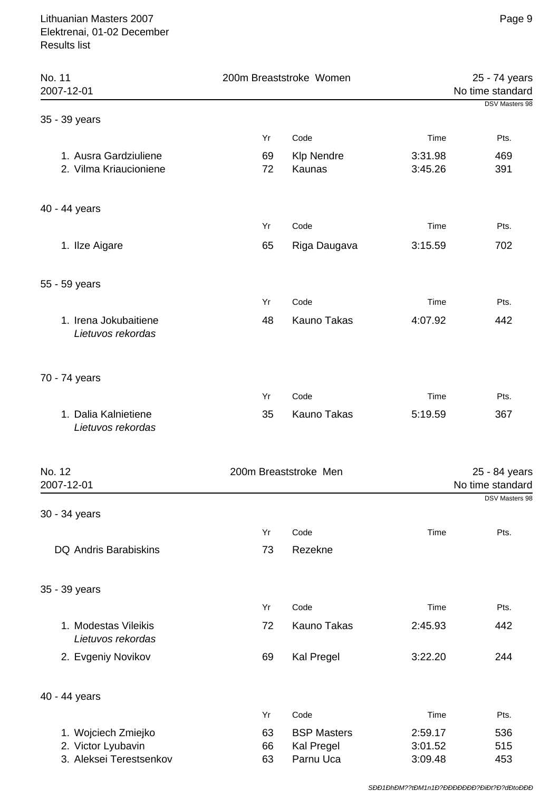| No. 11<br>2007-12-01                            |          | 200m Breaststroke Women     |                    |                                   |
|-------------------------------------------------|----------|-----------------------------|--------------------|-----------------------------------|
| 35 - 39 years                                   |          |                             |                    | <b>DSV Masters 98</b>             |
|                                                 | Yr       | Code                        | Time               | Pts.                              |
| 1. Ausra Gardziuliene<br>2. Vilma Kriaucioniene | 69<br>72 | <b>Klp Nendre</b><br>Kaunas | 3:31.98<br>3:45.26 | 469<br>391                        |
| 40 - 44 years                                   |          |                             |                    |                                   |
|                                                 | Yr       | Code                        | Time               | Pts.                              |
| 1. Ilze Aigare                                  | 65       | Riga Daugava                | 3:15.59            | 702                               |
| 55 - 59 years                                   |          |                             |                    |                                   |
|                                                 | Yr       | Code                        | Time               | Pts.                              |
| 1. Irena Jokubaitiene<br>Lietuvos rekordas      | 48       | <b>Kauno Takas</b>          | 4:07.92            | 442                               |
| 70 - 74 years                                   |          |                             |                    |                                   |
|                                                 | Yr       | Code                        | Time               | Pts.                              |
| 1. Dalia Kalnietiene<br>Lietuvos rekordas       | 35       | Kauno Takas                 | 5:19.59            | 367                               |
| No. 12<br>2007-12-01                            |          | 200m Breaststroke Men       |                    | 25 - 84 years<br>No time standard |
|                                                 |          |                             |                    | DSV Masters 98                    |
| 30 - 34 years                                   |          |                             |                    |                                   |
|                                                 | Yr       | Code                        | Time               | Pts.                              |
| <b>DQ Andris Barabiskins</b>                    | 73       | Rezekne                     |                    |                                   |
| 35 - 39 years                                   |          |                             |                    |                                   |
|                                                 | Yr       | Code                        | Time               | Pts.                              |
| 1. Modestas Vileikis<br>Lietuvos rekordas       | 72       | <b>Kauno Takas</b>          | 2:45.93            | 442                               |
| 2. Evgeniy Novikov                              | 69       | Kal Pregel                  | 3:22.20            | 244                               |
| 40 - 44 years                                   |          |                             |                    |                                   |
|                                                 | Yr       | Code                        | Time               | Pts.                              |
| 1. Wojciech Zmiejko                             | 63       | <b>BSP Masters</b>          | 2:59.17            | 536                               |
| 2. Victor Lyubavin<br>3. Aleksei Terestsenkov   | 66<br>63 | Kal Pregel<br>Parnu Uca     | 3:01.52<br>3:09.48 | 515<br>453                        |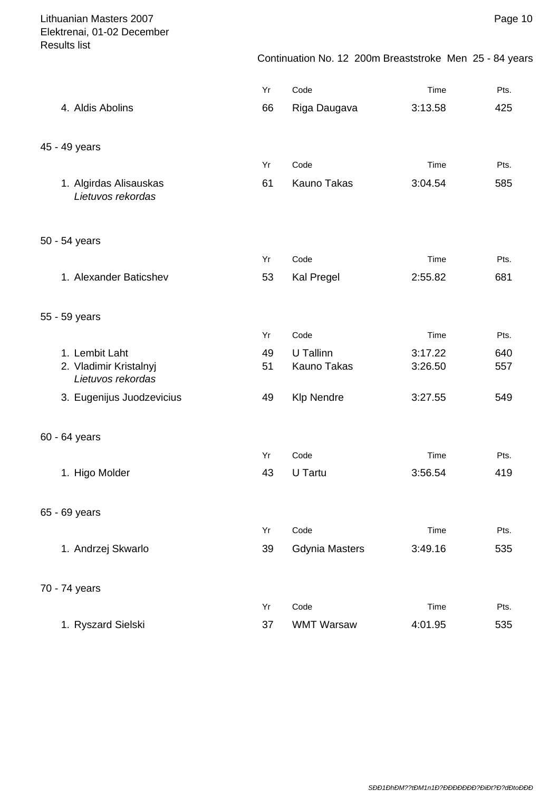Page 10

|                                             | Yr | Code                  | Time    | Pts. |
|---------------------------------------------|----|-----------------------|---------|------|
| 4. Aldis Abolins                            | 66 | Riga Daugava          | 3:13.58 | 425  |
|                                             |    |                       |         |      |
| 45 - 49 years                               |    |                       |         |      |
|                                             | Yr | Code                  | Time    | Pts. |
| 1. Algirdas Alisauskas                      | 61 | <b>Kauno Takas</b>    | 3:04.54 | 585  |
| Lietuvos rekordas                           |    |                       |         |      |
|                                             |    |                       |         |      |
| 50 - 54 years                               |    |                       |         |      |
|                                             | Yr | Code                  | Time    | Pts. |
| 1. Alexander Baticshev                      | 53 | Kal Pregel            | 2:55.82 | 681  |
|                                             |    |                       |         |      |
| 55 - 59 years                               |    |                       |         |      |
|                                             | Yr | Code                  | Time    | Pts. |
| 1. Lembit Laht                              | 49 | U Tallinn             | 3:17.22 | 640  |
| 2. Vladimir Kristalnyj<br>Lietuvos rekordas | 51 | <b>Kauno Takas</b>    | 3:26.50 | 557  |
| 3. Eugenijus Juodzevicius                   | 49 | <b>Klp Nendre</b>     | 3:27.55 | 549  |
|                                             |    |                       |         |      |
| 60 - 64 years                               |    |                       |         |      |
|                                             | Yr | Code                  | Time    | Pts. |
| 1. Higo Molder                              | 43 | U Tartu               | 3:56.54 | 419  |
|                                             |    |                       |         |      |
| 65 - 69 years                               |    |                       |         |      |
|                                             | Yr | Code                  | Time    | Pts. |
| 1. Andrzej Skwarlo                          | 39 | <b>Gdynia Masters</b> | 3:49.16 | 535  |
|                                             |    |                       |         |      |
|                                             |    |                       |         |      |
| 70 - 74 years                               | Yr | Code                  | Time    | Pts. |
| 1. Ryszard Sielski                          | 37 | <b>WMT Warsaw</b>     | 4:01.95 | 535  |
|                                             |    |                       |         |      |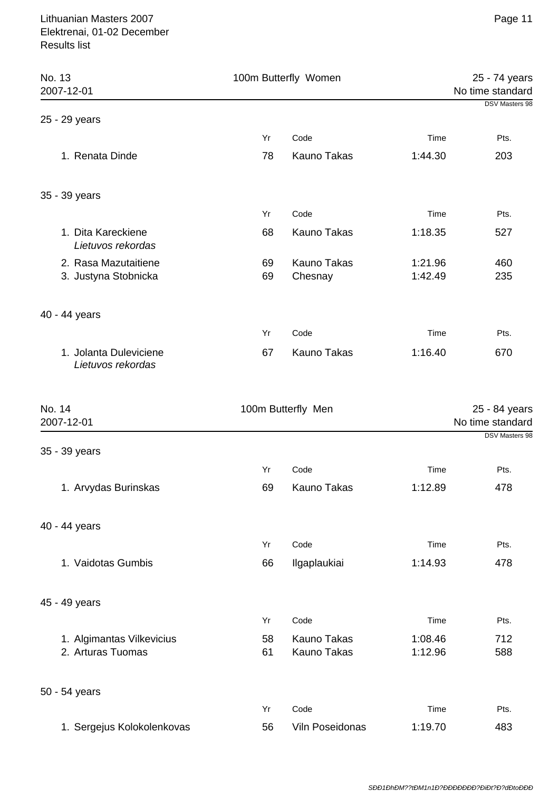| No. 13                                         | 100m Butterfly Women |                                          |                    | 25 - 74 years                             |  |
|------------------------------------------------|----------------------|------------------------------------------|--------------------|-------------------------------------------|--|
| 2007-12-01                                     |                      |                                          |                    | No time standard<br><b>DSV Masters 98</b> |  |
| 25 - 29 years                                  |                      |                                          |                    |                                           |  |
|                                                | Yr                   | Code                                     | Time               | Pts.                                      |  |
| 1. Renata Dinde                                | 78                   | Kauno Takas                              | 1:44.30            | 203                                       |  |
| 35 - 39 years                                  |                      |                                          |                    |                                           |  |
|                                                | Yr                   | Code                                     | Time               | Pts.                                      |  |
| 1. Dita Kareckiene<br>Lietuvos rekordas        | 68                   | <b>Kauno Takas</b>                       | 1:18.35            | 527                                       |  |
| 2. Rasa Mazutaitiene<br>3. Justyna Stobnicka   | 69<br>69             | Kauno Takas<br>Chesnay                   | 1:21.96<br>1:42.49 | 460<br>235                                |  |
| 40 - 44 years                                  |                      |                                          |                    |                                           |  |
|                                                | Yr                   | Code                                     | Time               | Pts.                                      |  |
| 1. Jolanta Duleviciene<br>Lietuvos rekordas    | 67                   | Kauno Takas                              | 1:16.40            | 670                                       |  |
| No. 14<br>2007-12-01                           |                      | 100m Butterfly Men                       |                    | 25 - 84 years<br>No time standard         |  |
| 35 - 39 years                                  |                      |                                          |                    | <b>DSV Masters 98</b>                     |  |
|                                                | Yr                   | Code                                     | Time               | Pts.                                      |  |
| 1. Arvydas Burinskas                           | 69                   | Kauno Takas                              | 1:12.89            | 478                                       |  |
| 40 - 44 years                                  |                      |                                          |                    |                                           |  |
|                                                | Yr                   | Code                                     | Time               | Pts.                                      |  |
| 1. Vaidotas Gumbis                             | 66                   | Ilgaplaukiai                             | 1:14.93            | 478                                       |  |
| 45 - 49 years                                  |                      |                                          |                    |                                           |  |
|                                                | Yr                   | Code                                     | Time               | Pts.                                      |  |
| 1. Algimantas Vilkevicius<br>2. Arturas Tuomas | 58<br>61             | <b>Kauno Takas</b><br><b>Kauno Takas</b> | 1:08.46<br>1:12.96 | 712<br>588                                |  |
| 50 - 54 years                                  |                      |                                          |                    |                                           |  |
|                                                | Yr                   | Code                                     | Time               | Pts.                                      |  |
| 1. Sergejus Kolokolenkovas                     | 56                   | Viln Poseidonas                          | 1:19.70            | 483                                       |  |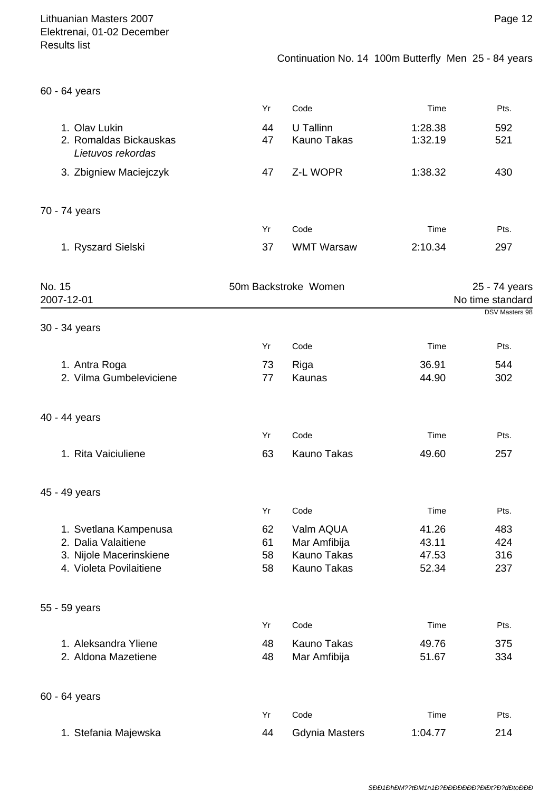# Continuation No. 14 100m Butterfly Men 25 - 84 years

|  |  | 60 - 64 years |
|--|--|---------------|
|--|--|---------------|

|                                                              | Yr       | Code                     | Time               | Pts.       |
|--------------------------------------------------------------|----------|--------------------------|--------------------|------------|
| 1. Olav Lukin<br>2. Romaldas Bickauskas<br>Lietuvos rekordas | 44<br>47 | U Tallinn<br>Kauno Takas | 1:28.38<br>1:32.19 | 592<br>521 |
| 3. Zbigniew Maciejczyk                                       | 47       | Z-L WOPR                 | 1:38.32            | 430        |
| 70 - 74 years                                                |          |                          |                    |            |
|                                                              | Yr       | Code                     | Time               | Pts.       |
| 1. Ryszard Sielski                                           | 37       | <b>WMT Warsaw</b>        | 2:10.34            | 297        |

| No. 15<br>2007-12-01    |    | 50m Backstroke Women  |         | 25 - 74 years<br>No time standard |  |
|-------------------------|----|-----------------------|---------|-----------------------------------|--|
| 30 - 34 years           |    |                       |         | DSV Masters 98                    |  |
|                         | Yr | Code                  | Time    | Pts.                              |  |
| 1. Antra Roga           | 73 | Riga                  | 36.91   | 544                               |  |
| 2. Vilma Gumbeleviciene | 77 | Kaunas                | 44.90   | 302                               |  |
| 40 - 44 years           |    |                       |         |                                   |  |
|                         | Yr | Code                  | Time    | Pts.                              |  |
| 1. Rita Vaiciuliene     | 63 | <b>Kauno Takas</b>    | 49.60   | 257                               |  |
| 45 - 49 years           |    |                       |         |                                   |  |
|                         | Yr | Code                  | Time    | Pts.                              |  |
| 1. Svetlana Kampenusa   | 62 | Valm AQUA             | 41.26   | 483                               |  |
| 2. Dalia Valaitiene     | 61 | Mar Amfibija          | 43.11   | 424                               |  |
| 3. Nijole Macerinskiene | 58 | <b>Kauno Takas</b>    | 47.53   | 316                               |  |
| 4. Violeta Povilaitiene | 58 | Kauno Takas           | 52.34   | 237                               |  |
| 55 - 59 years           |    |                       |         |                                   |  |
|                         | Yr | Code                  | Time    | Pts.                              |  |
| 1. Aleksandra Yliene    | 48 | Kauno Takas           | 49.76   | 375                               |  |
| 2. Aldona Mazetiene     | 48 | Mar Amfibija          | 51.67   | 334                               |  |
| 60 - 64 years           |    |                       |         |                                   |  |
|                         | Yr | Code                  | Time    | Pts.                              |  |
| 1. Stefania Majewska    | 44 | <b>Gdynia Masters</b> | 1:04.77 | 214                               |  |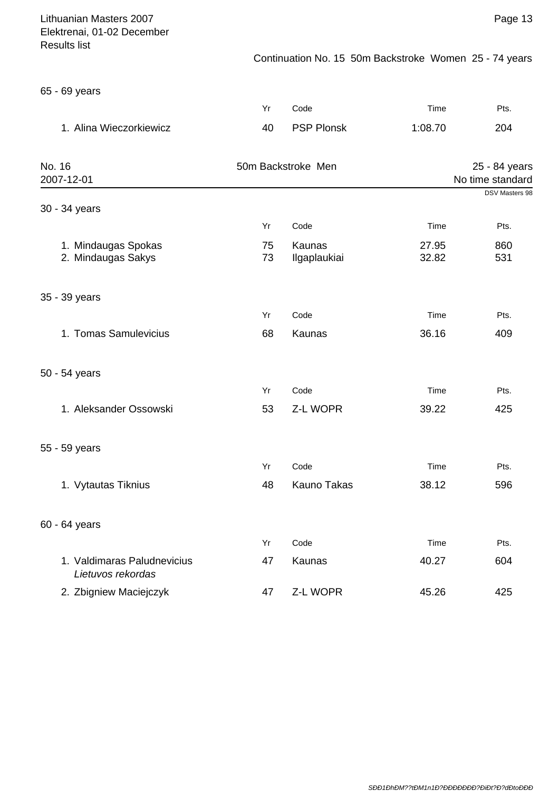## Continuation No. 15 50m Backstroke Women 25 - 74 years

65 - 69 years

|                                                  | Yr                 | Code                   | Time           | Pts.                              |
|--------------------------------------------------|--------------------|------------------------|----------------|-----------------------------------|
| 1. Alina Wieczorkiewicz                          | 40                 | <b>PSP Plonsk</b>      | 1:08.70        | 204                               |
| No. 16<br>2007-12-01                             | 50m Backstroke Men |                        |                | 25 - 84 years<br>No time standard |
| 30 - 34 years                                    |                    |                        |                | <b>DSV Masters 98</b>             |
|                                                  | Yr                 | Code                   | Time           | Pts.                              |
| 1. Mindaugas Spokas<br>2. Mindaugas Sakys        | 75<br>73           | Kaunas<br>Ilgaplaukiai | 27.95<br>32.82 | 860<br>531                        |
| 35 - 39 years                                    |                    |                        |                |                                   |
|                                                  | Yr                 | Code                   | Time           | Pts.                              |
| 1. Tomas Samulevicius                            | 68                 | Kaunas                 | 36.16          | 409                               |
| 50 - 54 years                                    |                    |                        |                |                                   |
|                                                  | Yr                 | Code                   | Time           | Pts.                              |
| 1. Aleksander Ossowski                           | 53                 | Z-L WOPR               | 39.22          | 425                               |
| 55 - 59 years                                    |                    |                        |                |                                   |
|                                                  | Yr                 | Code                   | Time           | Pts.                              |
| 1. Vytautas Tiknius                              | 48                 | <b>Kauno Takas</b>     | 38.12          | 596                               |
| 60 - 64 years                                    |                    |                        |                |                                   |
|                                                  | Yr                 | Code                   | Time           | Pts.                              |
| 1. Valdimaras Paludnevicius<br>Lietuvos rekordas | 47                 | Kaunas                 | 40.27          | 604                               |
| 2. Zbigniew Maciejczyk                           | 47                 | Z-L WOPR               | 45.26          | 425                               |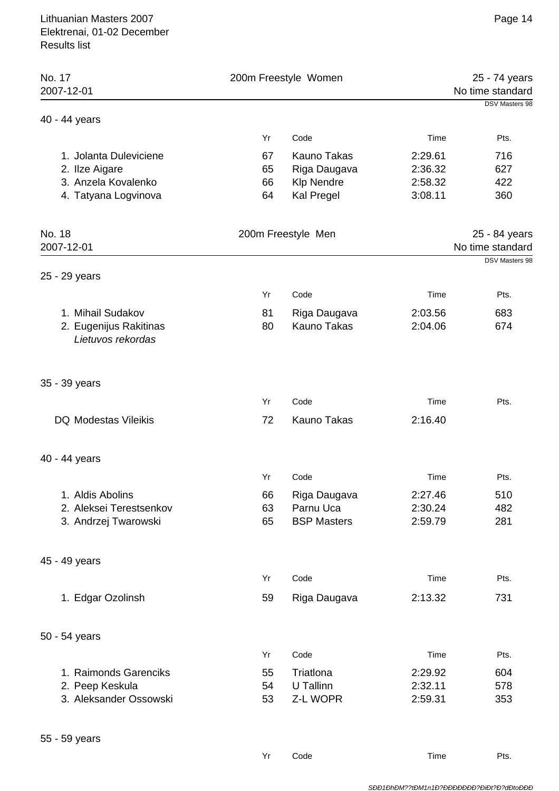| No. 17<br>2007-12-01                        | 200m Freestyle Women |                    | 25 - 74 years<br>No time standard |                       |
|---------------------------------------------|----------------------|--------------------|-----------------------------------|-----------------------|
| 40 - 44 years                               |                      |                    |                                   | <b>DSV Masters 98</b> |
|                                             | Yr                   | Code               | Time                              | Pts.                  |
| 1. Jolanta Duleviciene                      | 67                   | Kauno Takas        | 2:29.61                           | 716                   |
| 2. Ilze Aigare                              | 65                   | Riga Daugava       | 2:36.32                           | 627                   |
| 3. Anzela Kovalenko                         | 66                   | <b>Klp Nendre</b>  | 2:58.32                           | 422                   |
| 4. Tatyana Logvinova                        | 64                   | Kal Pregel         | 3:08.11                           | 360                   |
| No. 18                                      |                      | 200m Freestyle Men |                                   | 25 - 84 years         |
| 2007-12-01                                  |                      |                    |                                   | No time standard      |
| 25 - 29 years                               |                      |                    |                                   | DSV Masters 98        |
|                                             | Yr                   | Code               | Time                              | Pts.                  |
| 1. Mihail Sudakov                           | 81                   | Riga Daugava       | 2:03.56                           | 683                   |
| 2. Eugenijus Rakitinas<br>Lietuvos rekordas | 80                   | Kauno Takas        | 2:04.06                           | 674                   |
| 35 - 39 years                               |                      |                    |                                   |                       |
|                                             | Yr                   | Code               | Time                              | Pts.                  |
| <b>DQ Modestas Vileikis</b>                 | 72                   | <b>Kauno Takas</b> | 2:16.40                           |                       |
| 40 - 44 years                               |                      |                    |                                   |                       |
|                                             | Yr                   | Code               | Time                              | Pts.                  |
| 1. Aldis Abolins                            | 66                   | Riga Daugava       | 2:27.46                           | 510                   |
| 2. Aleksei Terestsenkov                     | 63                   | Parnu Uca          | 2:30.24                           | 482                   |
| 3. Andrzej Twarowski                        | 65                   | <b>BSP Masters</b> | 2:59.79                           | 281                   |
| 45 - 49 years                               |                      |                    |                                   |                       |
|                                             | Yr                   | Code               | Time                              | Pts.                  |
| 1. Edgar Ozolinsh                           | 59                   | Riga Daugava       | 2:13.32                           | 731                   |
| 50 - 54 years                               |                      |                    |                                   |                       |
|                                             | Yr                   | Code               | Time                              | Pts.                  |
| 1. Raimonds Garenciks                       | 55                   | Triatlona          | 2:29.92                           | 604                   |
| 2. Peep Keskula                             | 54                   | U Tallinn          | 2:32.11                           | 578                   |
| 3. Aleksander Ossowski                      | 53                   | Z-L WOPR           | 2:59.31                           | 353                   |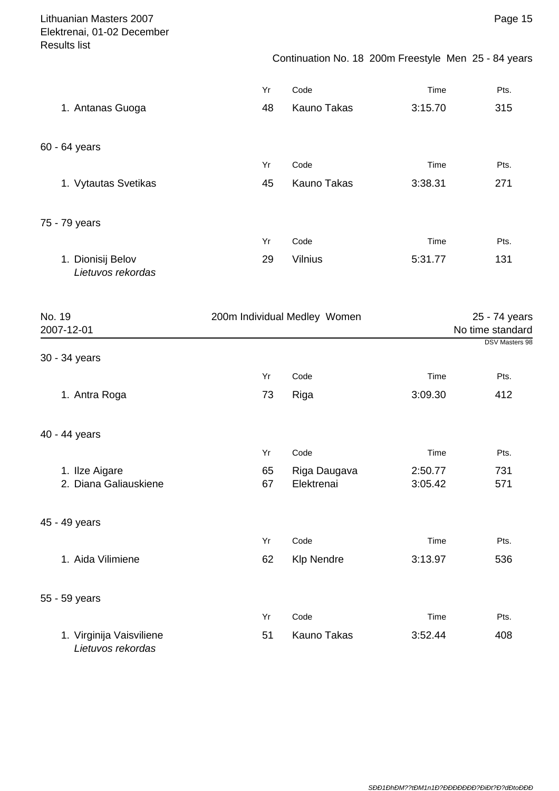Continuation No. 18 200m Freestyle Men 25 - 84 years

|                                        | Yr | Code               | Time    | Pts. |
|----------------------------------------|----|--------------------|---------|------|
| 1. Antanas Guoga                       | 48 | <b>Kauno Takas</b> | 3:15.70 | 315  |
| 60 - 64 years                          |    |                    |         |      |
|                                        | Yr | Code               | Time    | Pts. |
| 1. Vytautas Svetikas                   | 45 | <b>Kauno Takas</b> | 3:38.31 | 271  |
| 75 - 79 years                          |    |                    |         |      |
|                                        | Yr | Code               | Time    | Pts. |
| 1. Dionisij Belov<br>Lietuvos rekordas | 29 | <b>Vilnius</b>     | 5:31.77 | 131  |

| No. 19<br>2007-12-01                          | 200m Individual Medley Women |                            | 25 - 74 years<br>No time standard<br><b>DSV Masters 98</b> |            |
|-----------------------------------------------|------------------------------|----------------------------|------------------------------------------------------------|------------|
| 30 - 34 years                                 |                              |                            |                                                            |            |
|                                               | Yr                           | Code                       | Time                                                       | Pts.       |
| 1. Antra Roga                                 | 73                           | Riga                       | 3:09.30                                                    | 412        |
| 40 - 44 years                                 |                              |                            |                                                            |            |
|                                               | Yr                           | Code                       | Time                                                       | Pts.       |
| 1. Ilze Aigare<br>2. Diana Galiauskiene       | 65<br>67                     | Riga Daugava<br>Elektrenai | 2:50.77<br>3:05.42                                         | 731<br>571 |
| 45 - 49 years                                 |                              |                            |                                                            |            |
|                                               | Yr                           | Code                       | Time                                                       | Pts.       |
| 1. Aida Vilimiene                             | 62                           | <b>Klp Nendre</b>          | 3:13.97                                                    | 536        |
| 55 - 59 years                                 |                              |                            |                                                            |            |
|                                               | Yr                           | Code                       | Time                                                       | Pts.       |
| 1. Virginija Vaisviliene<br>Lietuvos rekordas | 51                           | Kauno Takas                | 3:52.44                                                    | 408        |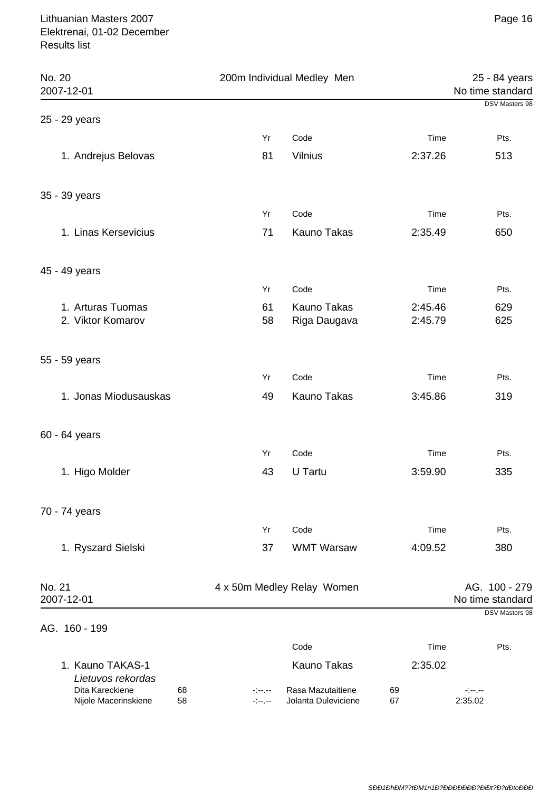| No. 20<br>2007-12-01                                |                  | 200m Individual Medley Men               |                    | 25 - 84 years<br>No time standard |
|-----------------------------------------------------|------------------|------------------------------------------|--------------------|-----------------------------------|
| 25 - 29 years                                       |                  |                                          |                    | DSV Masters 98                    |
|                                                     | Yr               | Code                                     | Time               | Pts.                              |
| 1. Andrejus Belovas                                 | 81               | <b>Vilnius</b>                           | 2:37.26            | 513                               |
| 35 - 39 years                                       |                  |                                          |                    |                                   |
|                                                     | Yr               | Code                                     | Time               | Pts.                              |
| 1. Linas Kersevicius                                | 71               | Kauno Takas                              | 2:35.49            | 650                               |
| 45 - 49 years                                       |                  |                                          |                    |                                   |
|                                                     | Yr               | Code                                     | Time               | Pts.                              |
| 1. Arturas Tuomas<br>2. Viktor Komarov              | 61<br>58         | Kauno Takas<br>Riga Daugava              | 2:45.46<br>2:45.79 | 629<br>625                        |
| 55 - 59 years                                       |                  |                                          |                    |                                   |
|                                                     | Yr               | Code                                     | Time               | Pts.                              |
| 1. Jonas Miodusauskas                               | 49               | Kauno Takas                              | 3:45.86            | 319                               |
| 60 - 64 years                                       |                  |                                          |                    |                                   |
|                                                     | Yr               | Code                                     | Time               | Pts.                              |
| 1. Higo Molder                                      | 43               | U Tartu                                  | 3:59.90            | 335                               |
| 70 - 74 years                                       |                  |                                          |                    |                                   |
|                                                     | Yr               | Code                                     | Time               | Pts.                              |
| 1. Ryszard Sielski                                  | 37               | <b>WMT Warsaw</b>                        | 4:09.52            | 380                               |
| No. 21<br>2007-12-01                                |                  | 4 x 50m Medley Relay Women               |                    | AG. 100 - 279<br>No time standard |
| AG. 160 - 199                                       |                  |                                          |                    | DSV Masters 98                    |
|                                                     |                  | Code                                     | Time               | Pts.                              |
| 1. Kauno TAKAS-1<br>Lietuvos rekordas               |                  | <b>Kauno Takas</b>                       | 2:35.02            |                                   |
| Dita Kareckiene<br>68<br>Nijole Macerinskiene<br>58 | -1--1--<br>-1-1- | Rasa Mazutaitiene<br>Jolanta Duleviciene | 69<br>67           | -1-1-<br>2:35.02                  |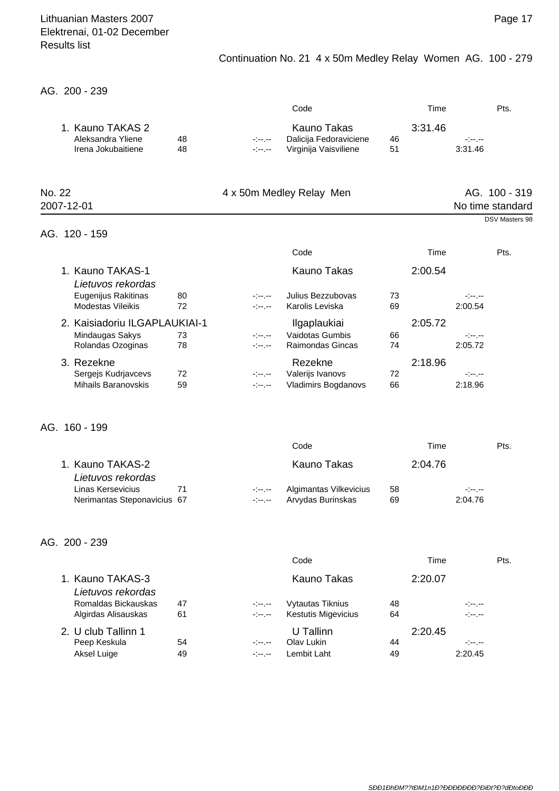## Continuation No. 21 4 x 50m Medley Relay Women AG. 100 - 279

AG. 200 - 239

|        |                                                                       |          |                                    | Code                                                                  |          | Time    |                             | Pts.                                                |
|--------|-----------------------------------------------------------------------|----------|------------------------------------|-----------------------------------------------------------------------|----------|---------|-----------------------------|-----------------------------------------------------|
|        | 1. Kauno TAKAS 2<br>Aleksandra Yliene<br>Irena Jokubaitiene           | 48<br>48 | المعرضة والمراج<br>المعرضة والمنا  | <b>Kauno Takas</b><br>Dalicija Fedoraviciene<br>Virginija Vaisviliene | 46<br>51 | 3:31.46 | $-1 - 1 - 1 = 0$<br>3:31.46 |                                                     |
| No. 22 | 2007-12-01                                                            |          |                                    | 4 x 50m Medley Relay Men                                              |          |         |                             | AG. 100 - 319<br>No time standard<br>DSV Masters 98 |
|        | AG. 120 - 159                                                         |          |                                    |                                                                       |          |         |                             |                                                     |
|        |                                                                       |          |                                    | Code                                                                  |          | Time    |                             | Pts.                                                |
|        | 1. Kauno TAKAS-1                                                      |          |                                    | <b>Kauno Takas</b>                                                    |          | 2:00.54 |                             |                                                     |
|        | Lietuvos rekordas<br>Eugenijus Rakitinas<br><b>Modestas Vileikis</b>  | 80<br>72 | سمرسون<br>سمرسون                   | Julius Bezzubovas<br>Karolis Leviska                                  | 73<br>69 |         | معرجين<br>2:00.54           |                                                     |
|        | 2. Kaisiadoriu ILGAPLAUKIAI-1<br>Mindaugas Sakys<br>Rolandas Ozoginas | 73<br>78 | المعرضة والمراج<br>المعرضة والمراج | Ilgaplaukiai<br>Vaidotas Gumbis<br>Raimondas Gincas                   | 66<br>74 | 2:05.72 | معرضهم<br>2:05.72           |                                                     |
|        | 3. Rezekne<br>Sergejs Kudrjavcevs<br><b>Mihails Baranovskis</b>       | 72<br>59 | المعرضة والمراج<br>معرضهم          | Rezekne<br>Valerijs Ivanovs<br><b>Vladimirs Bogdanovs</b>             | 72<br>66 | 2:18.96 | $-1 - 1 - 1 = 0$<br>2:18.96 |                                                     |
|        | AG. 160 - 199                                                         |          |                                    |                                                                       |          |         |                             |                                                     |
|        |                                                                       |          |                                    | Code                                                                  |          | Time    |                             | Pts.                                                |
|        | 1. Kauno TAKAS-2<br>Lietuvos rekordas                                 |          |                                    | <b>Kauno Takas</b>                                                    |          | 2:04.76 |                             |                                                     |
|        | Linas Kersevicius<br>Nerimantas Steponavicius 67                      | 71       | -1--1--<br>-1--1--                 | Algimantas Vilkevicius<br>Arvydas Burinskas                           | 58<br>69 |         | -1--1--<br>2:04.76          |                                                     |
|        | AG. 200 - 239                                                         |          |                                    |                                                                       |          |         |                             |                                                     |
|        |                                                                       |          |                                    | Code                                                                  |          | Time    |                             | Pts.                                                |
|        | 1. Kauno TAKAS-3<br>Lietuvos rekordas                                 |          |                                    | <b>Kauno Takas</b>                                                    |          | 2:20.07 |                             |                                                     |
|        | Romaldas Bickauskas<br>Algirdas Alisauskas                            | 47<br>61 | ejesjes<br>-1--1--                 | Vytautas Tiknius<br><b>Kestutis Migevicius</b>                        | 48<br>64 |         | -1--1--<br>-1--1--          |                                                     |

| 2. U club Tallinn 1 |    | U Tallinn |                     | 2:20.45 |           |
|---------------------|----|-----------|---------------------|---------|-----------|
| Peep Keskula        | 54 |           | -:--.-- Olav Lukin  | 44      | معرجة إحا |
| Aksel Luige         | 49 |           | -:--.-- Lembit Laht | 49      | 2:20.45   |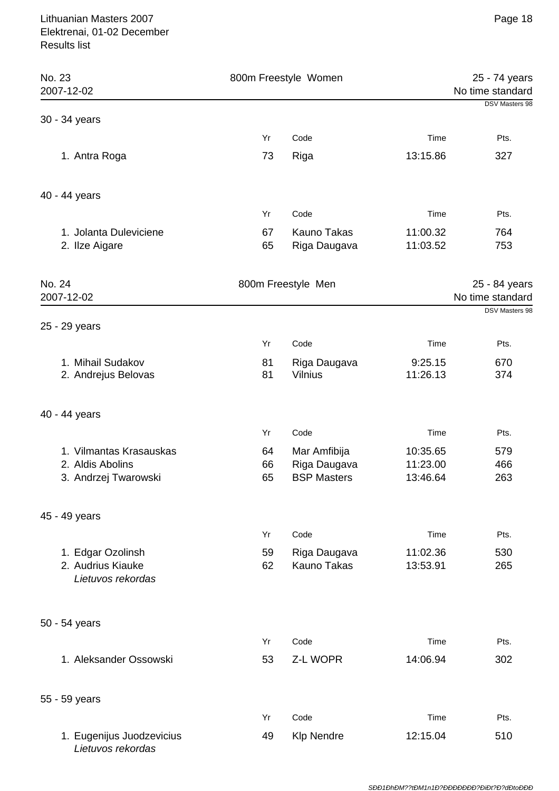| No. 23<br>2007-12-02                                        |          | 800m Freestyle Women               |                      | 25 - 74 years<br>No time standard |
|-------------------------------------------------------------|----------|------------------------------------|----------------------|-----------------------------------|
| 30 - 34 years                                               |          |                                    |                      | DSV Masters 98                    |
|                                                             | Yr       | Code                               | Time                 | Pts.                              |
| 1. Antra Roga                                               | 73       | Riga                               | 13:15.86             | 327                               |
| 40 - 44 years                                               |          |                                    |                      |                                   |
|                                                             | Yr       | Code                               | Time                 | Pts.                              |
| 1. Jolanta Duleviciene<br>2. Ilze Aigare                    | 67<br>65 | Kauno Takas<br>Riga Daugava        | 11:00.32<br>11:03.52 | 764<br>753                        |
| No. 24<br>2007-12-02                                        |          | 800m Freestyle Men                 |                      | 25 - 84 years<br>No time standard |
| 25 - 29 years                                               |          |                                    |                      | DSV Masters 98                    |
|                                                             | Yr       | Code                               | Time                 | Pts.                              |
| 1. Mihail Sudakov<br>2. Andrejus Belovas                    | 81<br>81 | Riga Daugava<br><b>Vilnius</b>     | 9:25.15<br>11:26.13  | 670<br>374                        |
| 40 - 44 years                                               |          |                                    |                      |                                   |
|                                                             | Yr       | Code                               | Time                 | Pts.                              |
| 1. Vilmantas Krasauskas                                     | 64       | Mar Amfibija                       | 10:35.65             | 579                               |
| 2. Aldis Abolins<br>3. Andrzej Twarowski                    | 66<br>65 | Riga Daugava<br><b>BSP Masters</b> | 11:23.00<br>13:46.64 | 466<br>263                        |
| 45 - 49 years                                               |          |                                    |                      |                                   |
|                                                             | Yr       | Code                               | Time                 | Pts.                              |
| 1. Edgar Ozolinsh<br>2. Audrius Kiauke<br>Lietuvos rekordas | 59<br>62 | Riga Daugava<br>Kauno Takas        | 11:02.36<br>13:53.91 | 530<br>265                        |
| 50 - 54 years                                               |          |                                    |                      |                                   |
|                                                             | Yr       | Code                               | Time                 | Pts.                              |
| 1. Aleksander Ossowski                                      | 53       | Z-L WOPR                           | 14:06.94             | 302                               |
| 55 - 59 years                                               |          |                                    |                      |                                   |
|                                                             | Yr       | Code                               | Time                 | Pts.                              |
| 1. Eugenijus Juodzevicius<br>Lietuvos rekordas              | 49       | <b>Klp Nendre</b>                  | 12:15.04             | 510                               |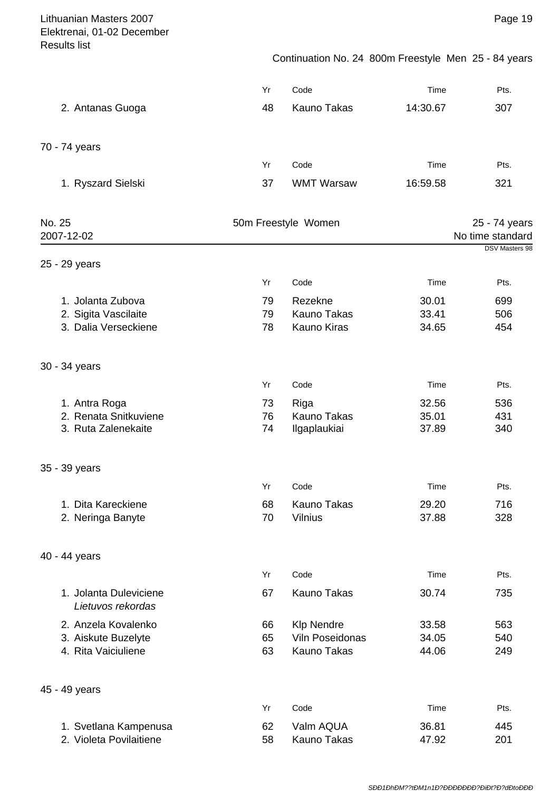Continuation No. 24 800m Freestyle Men 25 - 84 years

|                                             | Yr | Code                | Time     | Pts.                              |
|---------------------------------------------|----|---------------------|----------|-----------------------------------|
| 2. Antanas Guoga                            | 48 | <b>Kauno Takas</b>  | 14:30.67 | 307                               |
| 70 - 74 years                               |    |                     |          |                                   |
|                                             | Yr | Code                | Time     | Pts.                              |
| 1. Ryszard Sielski                          | 37 | <b>WMT Warsaw</b>   | 16:59.58 | 321                               |
| No. 25<br>2007-12-02                        |    | 50m Freestyle Women |          | 25 - 74 years<br>No time standard |
| 25 - 29 years                               |    |                     |          | <b>DSV Masters 98</b>             |
|                                             | Yr | Code                | Time     | Pts.                              |
| 1. Jolanta Zubova                           | 79 | Rezekne             | 30.01    | 699                               |
| 2. Sigita Vascilaite                        | 79 | <b>Kauno Takas</b>  | 33.41    | 506                               |
| 3. Dalia Verseckiene                        | 78 | <b>Kauno Kiras</b>  | 34.65    | 454                               |
| 30 - 34 years                               |    |                     |          |                                   |
|                                             | Yr | Code                | Time     | Pts.                              |
| 1. Antra Roga                               | 73 | Riga                | 32.56    | 536                               |
| 2. Renata Snitkuviene                       | 76 | <b>Kauno Takas</b>  | 35.01    | 431                               |
| 3. Ruta Zalenekaite                         | 74 | Ilgaplaukiai        | 37.89    | 340                               |
| 35 - 39 years                               |    |                     |          |                                   |
|                                             | Yr | Code                | Time     | Pts.                              |
| 1. Dita Kareckiene                          | 68 | Kauno Takas         | 29.20    | 716                               |
| 2. Neringa Banyte                           | 70 | <b>Vilnius</b>      | 37.88    | 328                               |
| 40 - 44 years                               |    |                     |          |                                   |
|                                             | Yr | Code                | Time     | Pts.                              |
| 1. Jolanta Duleviciene<br>Lietuvos rekordas | 67 | Kauno Takas         | 30.74    | 735                               |
| 2. Anzela Kovalenko                         | 66 | <b>Klp Nendre</b>   | 33.58    | 563                               |
| 3. Aiskute Buzelyte                         | 65 | Viln Poseidonas     | 34.05    | 540                               |
| 4. Rita Vaiciuliene                         | 63 | Kauno Takas         | 44.06    | 249                               |
| 45 - 49 years                               |    |                     |          |                                   |
|                                             | Yr | Code                | Time     | Pts.                              |
| 1. Svetlana Kampenusa                       | 62 | Valm AQUA           | 36.81    | 445                               |
| 2. Violeta Povilaitiene                     | 58 | Kauno Takas         | 47.92    | 201                               |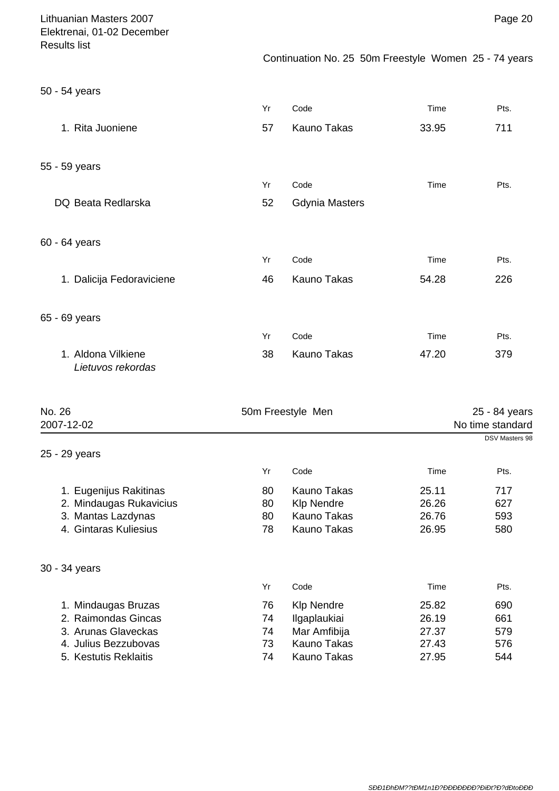| Lithuanian Masters 2007<br>Elektrenai, 01-02 December |          |                                                       |       | Page 20                            |
|-------------------------------------------------------|----------|-------------------------------------------------------|-------|------------------------------------|
| <b>Results list</b>                                   |          | Continuation No. 25 50m Freestyle Women 25 - 74 years |       |                                    |
| 50 - 54 years                                         |          |                                                       |       |                                    |
|                                                       | Yr       | Code                                                  | Time  | Pts.                               |
| 1. Rita Juoniene                                      | 57       | Kauno Takas                                           | 33.95 | 711                                |
| 55 - 59 years                                         |          |                                                       |       |                                    |
|                                                       | Yr       | Code                                                  | Time  | Pts.                               |
| DQ Beata Redlarska                                    | 52       | <b>Gdynia Masters</b>                                 |       |                                    |
| 60 - 64 years                                         |          |                                                       |       |                                    |
|                                                       | Yr       | Code                                                  | Time  | Pts.                               |
| 1. Dalicija Fedoraviciene                             | 46       | Kauno Takas                                           | 54.28 | 226                                |
| 65 - 69 years                                         |          |                                                       |       |                                    |
|                                                       | Yr       | Code                                                  | Time  | Pts.                               |
| 1. Aldona Vilkiene<br>Lietuvos rekordas               | 38       | Kauno Takas                                           | 47.20 | 379                                |
| No. 26                                                |          | 50m Freestyle Men                                     |       | 25 - 84 years                      |
| 2007-12-02                                            |          |                                                       |       | No time standard<br>DSV Masters 98 |
| 25 - 29 years                                         |          |                                                       |       |                                    |
|                                                       | Yr       | Code                                                  | Time  | Pts.                               |
| 1. Eugenijus Rakitinas                                | 80       | <b>Kauno Takas</b>                                    | 25.11 | 717                                |
| 2. Mindaugas Rukavicius                               | 80       | <b>Klp Nendre</b>                                     | 26.26 | 627                                |
| 3. Mantas Lazdynas<br>4. Gintaras Kuliesius           | 80<br>78 | <b>Kauno Takas</b><br>Kauno Takas                     | 26.76 | 593                                |
|                                                       |          |                                                       | 26.95 | 580                                |
| 30 - 34 years                                         |          |                                                       |       |                                    |
|                                                       | Yr       | Code                                                  | Time  | Pts.                               |
| 1. Mindaugas Bruzas                                   | 76       | <b>Klp Nendre</b>                                     | 25.82 | 690                                |
| 2. Raimondas Gincas                                   | 74       | Ilgaplaukiai                                          | 26.19 | 661                                |
| 3. Arunas Glaveckas                                   | 74       | Mar Amfibija                                          | 27.37 | 579                                |
| 4. Julius Bezzubovas                                  | 73       | Kauno Takas                                           | 27.43 | 576                                |
| 5. Kestutis Reklaitis                                 | 74       | Kauno Takas                                           | 27.95 | 544                                |

5. Kestutis Reklaitis **1988** 74 Kauno Takas 27.95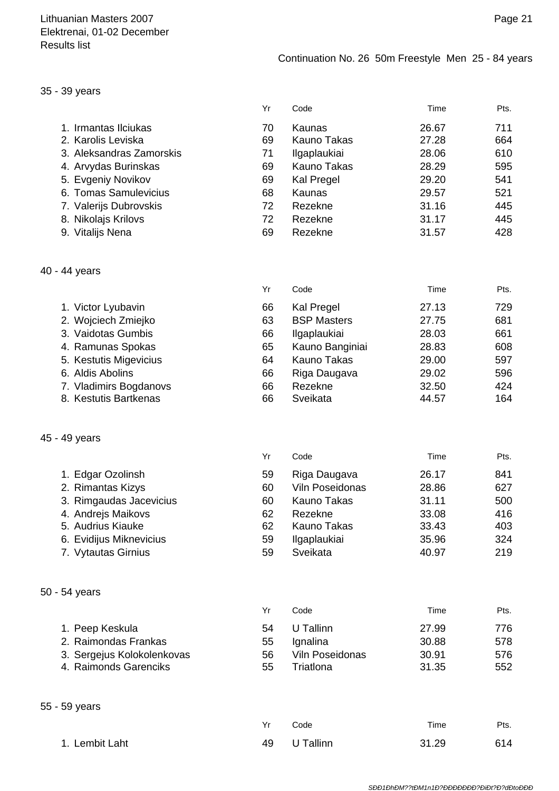#### 35 - 39 years

|                          | Yr | Code                | Time  | Pts. |
|--------------------------|----|---------------------|-------|------|
| 1. Irmantas Ilciukas     | 70 | Kaunas              | 26.67 | 711  |
| 2. Karolis Leviska       | 69 | Kauno Takas         | 27.28 | 664  |
| 3. Aleksandras Zamorskis | 71 | <b>Ilgaplaukiai</b> | 28.06 | 610  |
| 4. Arvydas Burinskas     | 69 | Kauno Takas         | 28.29 | 595  |
| 5. Evgeniy Novikov       | 69 | <b>Kal Pregel</b>   | 29.20 | 541  |
| 6. Tomas Samulevicius    | 68 | Kaunas              | 29.57 | 521  |
| 7. Valerijs Dubrovskis   | 72 | Rezekne             | 31.16 | 445  |
| 8. Nikolajs Krilovs      | 72 | Rezekne             | 31.17 | 445  |
| 9. Vitalijs Nena         | 69 | Rezekne             | 31.57 | 428  |

#### 40 - 44 years

|                        | Yr | Code               | Time  | Pts. |
|------------------------|----|--------------------|-------|------|
| 1. Victor Lyubavin     | 66 | Kal Pregel         | 27.13 | 729  |
| 2. Wojciech Zmiejko    | 63 | <b>BSP Masters</b> | 27.75 | 681  |
| 3. Vaidotas Gumbis     | 66 | Ilgaplaukiai       | 28.03 | 661  |
| 4. Ramunas Spokas      | 65 | Kauno Banginiai    | 28.83 | 608  |
| 5. Kestutis Migevicius | 64 | <b>Kauno Takas</b> | 29.00 | 597  |
| 6. Aldis Abolins       | 66 | Riga Daugava       | 29.02 | 596  |
| 7. Vladimirs Bogdanovs | 66 | Rezekne            | 32.50 | 424  |
| 8. Kestutis Bartkenas  | 66 | Sveikata           | 44.57 | 164  |

#### 45 - 49 years

|                         | Yr | Code                | Time  | Pts. |
|-------------------------|----|---------------------|-------|------|
| 1. Edgar Ozolinsh       | 59 | Riga Daugava        | 26.17 | 841  |
| 2. Rimantas Kizys       | 60 | Viln Poseidonas     | 28.86 | 627  |
| 3. Rimgaudas Jacevicius | 60 | Kauno Takas         | 31.11 | 500  |
| 4. Andrejs Maikovs      | 62 | Rezekne             | 33.08 | 416  |
| 5. Audrius Kiauke       | 62 | Kauno Takas         | 33.43 | 403  |
| 6. Evidijus Miknevicius | 59 | <b>Ilgaplaukiai</b> | 35.96 | 324  |
| 7. Vytautas Girnius     | 59 | Sveikata            | 40.97 | 219  |

## 50 - 54 years

|                            | Yr  | Code            | Time  | Pts. |
|----------------------------|-----|-----------------|-------|------|
| 1. Peep Keskula            | 54  | U Tallinn       | 27.99 | 776  |
| 2. Raimondas Frankas       | 55  | Ignalina        | 30.88 | 578  |
| 3. Sergejus Kolokolenkovas | 56. | Viln Poseidonas | 30.91 | 576  |
| 4. Raimonds Garenciks      | 55  | Triatlona       | 31.35 | 552  |

#### 55 - 59 years

|                | Yr | Code         | Time  | Pts. |
|----------------|----|--------------|-------|------|
| 1. Lembit Laht |    | 49 U Tallinn | 31.29 | 614  |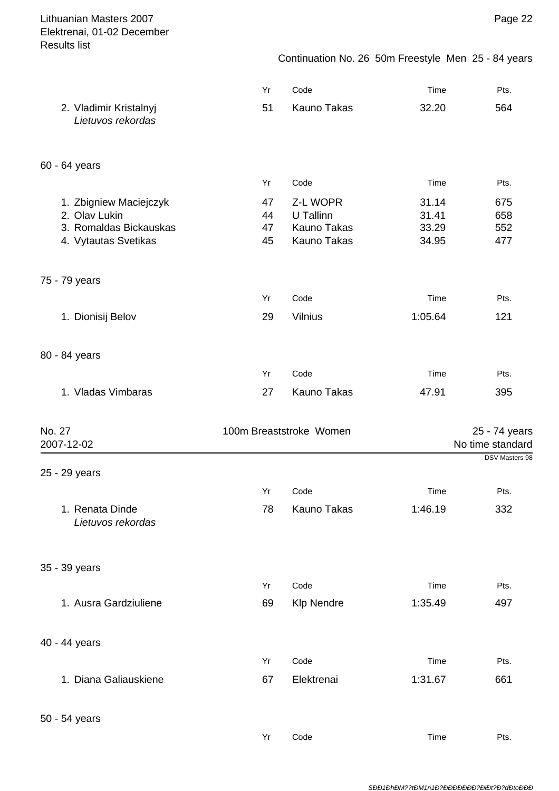Continuation No. 26 50m Freestyle Men 25 - 84 years

|                                                | Yr       | Code                       | Time           | Pts.             |
|------------------------------------------------|----------|----------------------------|----------------|------------------|
| 2. Vladimir Kristalnyj                         | 51       | <b>Kauno Takas</b>         | 32.20          | 564              |
| Lietuvos rekordas                              |          |                            |                |                  |
|                                                |          |                            |                |                  |
| 60 - 64 years                                  |          |                            |                |                  |
|                                                | Yr       | Code                       | Time           | Pts.             |
| 1. Zbigniew Maciejczyk                         | 47       | Z-L WOPR                   | 31.14          | 675              |
| 2. Olav Lukin                                  | 44       | U Tallinn                  | 31.41          | 658              |
| 3. Romaldas Bickauskas<br>4. Vytautas Svetikas | 47<br>45 | Kauno Takas<br>Kauno Takas | 33.29<br>34.95 | 552<br>477       |
|                                                |          |                            |                |                  |
| 75 - 79 years                                  |          |                            |                |                  |
|                                                | Yr       | Code                       | Time           | Pts.             |
| 1. Dionisij Belov                              | 29       | <b>Vilnius</b>             | 1:05.64        | 121              |
|                                                |          |                            |                |                  |
| 80 - 84 years                                  |          |                            |                |                  |
|                                                | Yr       | Code                       | Time           | Pts.             |
| 1. Vladas Vimbaras                             | 27       | Kauno Takas                | 47.91          | 395              |
| No. 27                                         |          | 100m Breaststroke Women    |                | 25 - 74 years    |
| 2007-12-02                                     |          |                            |                | No time standard |
|                                                |          |                            |                | DSV Masters 98   |
| 25 - 29 years                                  |          |                            |                |                  |
|                                                | Yr       | Code                       | Time           | Pts.             |
| 1. Renata Dinde                                | 78       | <b>Kauno Takas</b>         | 1:46.19        | 332              |
| Lietuvos rekordas                              |          |                            |                |                  |
|                                                |          |                            |                |                  |
| 35 - 39 years                                  | Yr       | Code                       | Time           | Pts.             |
| 1. Ausra Gardziuliene                          |          |                            |                |                  |
|                                                | 69       | <b>Klp Nendre</b>          | 1:35.49        | 497              |
| 40 - 44 years                                  |          |                            |                |                  |
|                                                | Yr       | Code                       | Time           | Pts.             |
| 1. Diana Galiauskiene                          | 67       | Elektrenai                 | 1:31.67        | 661              |
|                                                |          |                            |                |                  |
| 50 - 54 years                                  |          |                            |                |                  |
|                                                | Yr       | Code                       | Time           | Pts.             |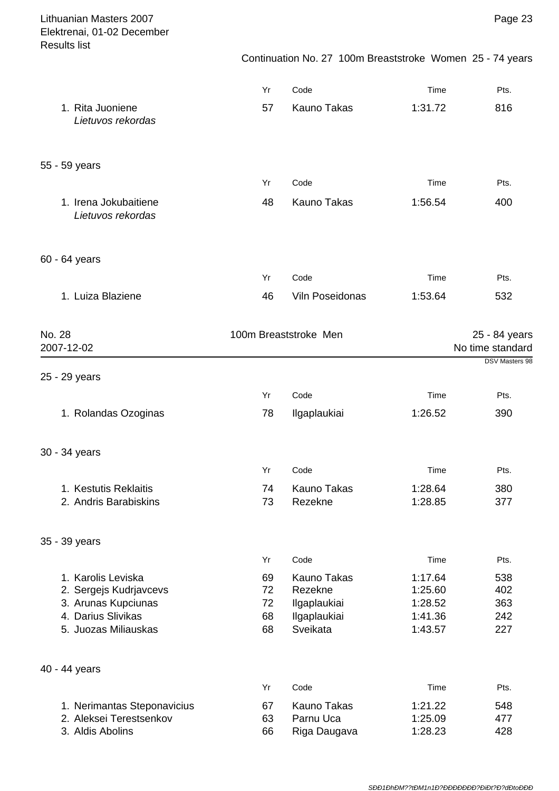| Lithuanian Masters 2007<br>Elektrenai, 01-02 December<br><b>Results list</b> |          |                                                           |                    | Page 23                                                    |
|------------------------------------------------------------------------------|----------|-----------------------------------------------------------|--------------------|------------------------------------------------------------|
|                                                                              |          | Continuation No. 27 100m Breaststroke Women 25 - 74 years |                    |                                                            |
|                                                                              | Yr       | Code                                                      | Time               | Pts.                                                       |
| 1. Rita Juoniene<br>Lietuvos rekordas                                        | 57       | <b>Kauno Takas</b>                                        | 1:31.72            | 816                                                        |
| 55 - 59 years                                                                |          |                                                           |                    |                                                            |
|                                                                              | Yr       | Code                                                      | Time               | Pts.                                                       |
| 1. Irena Jokubaitiene<br>Lietuvos rekordas                                   | 48       | <b>Kauno Takas</b>                                        | 1:56.54            | 400                                                        |
| 60 - 64 years                                                                |          |                                                           |                    |                                                            |
|                                                                              | Yr       | Code                                                      | Time               | Pts.                                                       |
| 1. Luiza Blaziene                                                            | 46       | Viln Poseidonas                                           | 1:53.64            | 532                                                        |
| No. 28<br>2007-12-02                                                         |          | 100m Breaststroke Men                                     |                    | 25 - 84 years<br>No time standard<br><b>DSV Masters 98</b> |
| 25 - 29 years                                                                |          |                                                           |                    |                                                            |
|                                                                              | Yr       | Code                                                      | Time               | Pts.                                                       |
| 1. Rolandas Ozoginas                                                         | 78       | Ilgaplaukiai                                              | 1:26.52            | 390                                                        |
| 30 - 34 years                                                                |          |                                                           |                    |                                                            |
|                                                                              | Yr       | Code                                                      | Time               | Pts.                                                       |
| 1. Kestutis Reklaitis<br>2. Andris Barabiskins                               | 74<br>73 | <b>Kauno Takas</b><br>Rezekne                             | 1:28.64<br>1:28.85 | 380<br>377                                                 |
| 35 - 39 years                                                                |          |                                                           |                    |                                                            |
|                                                                              | Yr       | Code                                                      | Time               | Pts.                                                       |
| 1. Karolis Leviska                                                           | 69       | <b>Kauno Takas</b>                                        | 1:17.64            | 538                                                        |
| 2. Sergejs Kudrjavcevs                                                       | 72       | Rezekne                                                   | 1:25.60            | 402                                                        |
| 3. Arunas Kupciunas<br>4. Darius Slivikas                                    | 72<br>68 | Ilgaplaukiai                                              | 1:28.52<br>1:41.36 | 363<br>242                                                 |
| 5. Juozas Miliauskas                                                         | 68       | Ilgaplaukiai<br>Sveikata                                  | 1:43.57            | 227                                                        |
| 40 - 44 years                                                                |          |                                                           |                    |                                                            |
|                                                                              | Yr       | Code                                                      | Time               | Pts.                                                       |
| 1. Nerimantas Steponavicius                                                  | 67       | <b>Kauno Takas</b>                                        | 1:21.22            | 548                                                        |
| 2. Aleksei Terestsenkov                                                      | 63       | Parnu Uca                                                 | 1:25.09            | 477                                                        |
| 3. Aldis Abolins                                                             | 66       | Riga Daugava                                              | 1:28.23            | 428                                                        |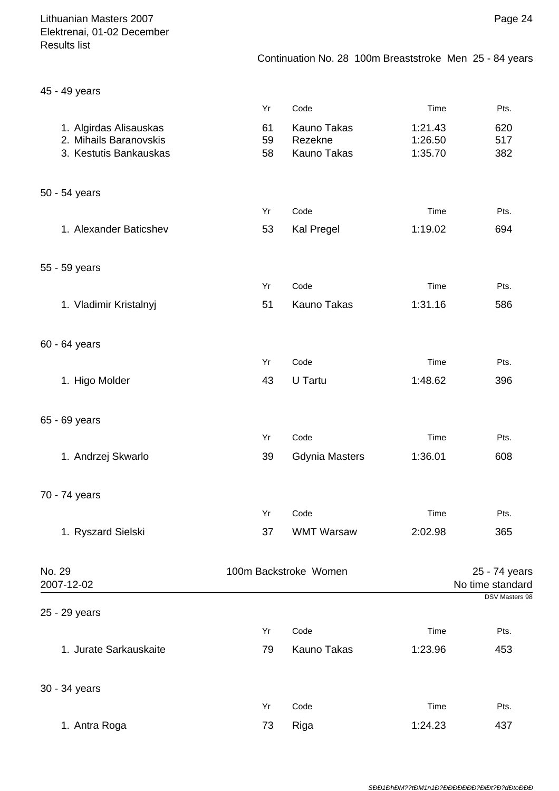45 - 49 years

|                        | Yr | Code                  | Time    | Pts.                  |
|------------------------|----|-----------------------|---------|-----------------------|
| 1. Algirdas Alisauskas | 61 | <b>Kauno Takas</b>    | 1:21.43 | 620                   |
| 2. Mihails Baranovskis | 59 | Rezekne               | 1:26.50 | 517                   |
| 3. Kestutis Bankauskas | 58 | Kauno Takas           | 1:35.70 | 382                   |
| 50 - 54 years          |    |                       |         |                       |
|                        | Yr | Code                  | Time    | Pts.                  |
| 1. Alexander Baticshev | 53 | Kal Pregel            | 1:19.02 | 694                   |
| 55 - 59 years          |    |                       |         |                       |
|                        | Yr | Code                  | Time    | Pts.                  |
| 1. Vladimir Kristalnyj | 51 | <b>Kauno Takas</b>    | 1:31.16 | 586                   |
|                        |    |                       |         |                       |
| 60 - 64 years          |    |                       |         |                       |
|                        | Yr | Code                  | Time    | Pts.                  |
| 1. Higo Molder         | 43 | U Tartu               | 1:48.62 | 396                   |
| 65 - 69 years          |    |                       |         |                       |
|                        | Yr | Code                  | Time    | Pts.                  |
| 1. Andrzej Skwarlo     | 39 | <b>Gdynia Masters</b> | 1:36.01 | 608                   |
| 70 - 74 years          |    |                       |         |                       |
|                        | Yr | Code                  | Time    | Pts.                  |
| 1. Ryszard Sielski     | 37 | <b>WMT Warsaw</b>     | 2:02.98 | 365                   |
| No. 29                 |    | 100m Backstroke Women |         | 25 - 74 years         |
| 2007-12-02             |    |                       |         | No time standard      |
| 25 - 29 years          |    |                       |         | <b>DSV Masters 98</b> |
|                        | Yr | Code                  | Time    | Pts.                  |
| 1. Jurate Sarkauskaite | 79 | Kauno Takas           | 1:23.96 | 453                   |
| 30 - 34 years          |    |                       |         |                       |
|                        | Yr | Code                  | Time    | Pts.                  |
| 1. Antra Roga          | 73 | Riga                  | 1:24.23 | 437                   |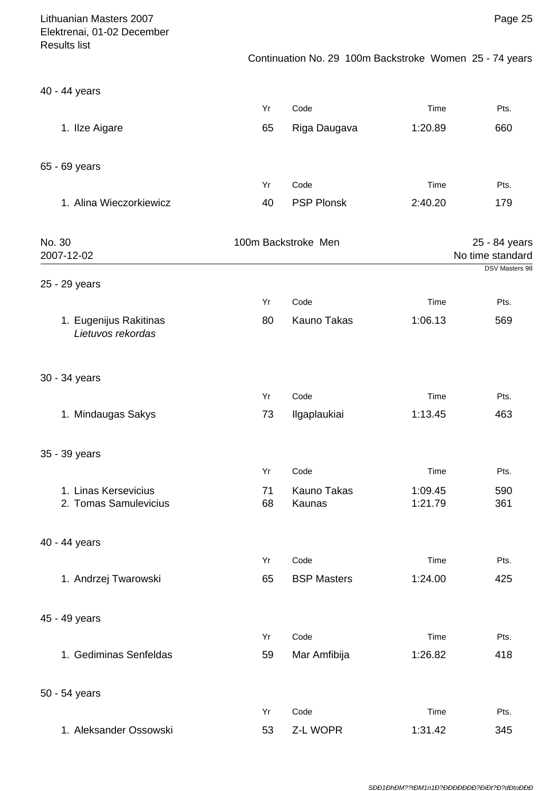| Lithuanian Masters 2007<br>Elektrenai, 01-02 December<br><b>Results list</b> |          |                                                         |                    | Page 25                           |
|------------------------------------------------------------------------------|----------|---------------------------------------------------------|--------------------|-----------------------------------|
|                                                                              |          | Continuation No. 29 100m Backstroke Women 25 - 74 years |                    |                                   |
| 40 - 44 years                                                                |          |                                                         |                    |                                   |
|                                                                              | Yr       | Code                                                    | Time               | Pts.                              |
| 1. Ilze Aigare                                                               | 65       | Riga Daugava                                            | 1:20.89            | 660                               |
| 65 - 69 years                                                                |          |                                                         |                    |                                   |
|                                                                              | Yr       | Code                                                    | Time               | Pts.                              |
| 1. Alina Wieczorkiewicz                                                      | 40       | <b>PSP Plonsk</b>                                       | 2:40.20            | 179                               |
| No. 30<br>2007-12-02                                                         |          | 100m Backstroke Men                                     |                    | 25 - 84 years<br>No time standard |
| 25 - 29 years                                                                |          |                                                         |                    | DSV Masters 98                    |
|                                                                              | Yr       | Code                                                    | Time               | Pts.                              |
| 1. Eugenijus Rakitinas<br>Lietuvos rekordas                                  | 80       | Kauno Takas                                             | 1:06.13            | 569                               |
| 30 - 34 years                                                                |          |                                                         |                    |                                   |
|                                                                              | Yr       | Code                                                    | Time               | Pts.                              |
| 1. Mindaugas Sakys                                                           | 73       | Ilgaplaukiai                                            | 1:13.45            | 463                               |
| 35 - 39 years                                                                |          |                                                         |                    |                                   |
|                                                                              | Yr       | Code                                                    | Time               | Pts.                              |
| 1. Linas Kersevicius<br>2. Tomas Samulevicius                                | 71<br>68 | <b>Kauno Takas</b><br>Kaunas                            | 1:09.45<br>1:21.79 | 590<br>361                        |
| 40 - 44 years                                                                |          |                                                         |                    |                                   |
|                                                                              | Yr       | Code                                                    | Time               | Pts.                              |
| 1. Andrzej Twarowski                                                         | 65       | <b>BSP Masters</b>                                      | 1:24.00            | 425                               |
| 45 - 49 years                                                                |          |                                                         |                    |                                   |
|                                                                              | Yr       | Code                                                    | Time               | Pts.                              |
| 1. Gediminas Senfeldas                                                       | 59       | Mar Amfibija                                            | 1:26.82            | 418                               |
| 50 - 54 years                                                                |          |                                                         |                    |                                   |
|                                                                              | Yr       | Code                                                    | Time               | Pts.                              |
| 1. Aleksander Ossowski                                                       | 53       | Z-L WOPR                                                | 1:31.42            | 345                               |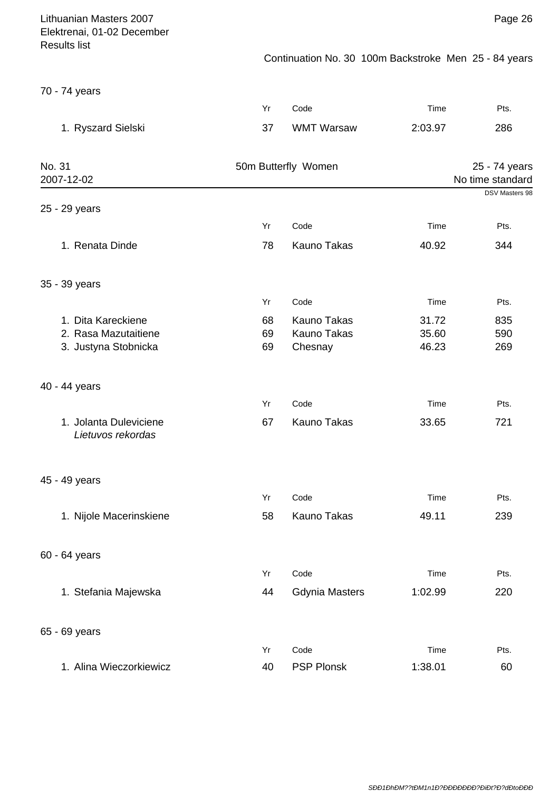Continuation No. 30 100m Backstroke Men 25 - 84 years

70 - 74 years

|                                             | Yr | Code                  | Time    | Pts.                              |
|---------------------------------------------|----|-----------------------|---------|-----------------------------------|
| 1. Ryszard Sielski                          | 37 | <b>WMT Warsaw</b>     | 2:03.97 | 286                               |
| No. 31<br>2007-12-02                        |    | 50m Butterfly Women   |         | 25 - 74 years<br>No time standard |
| 25 - 29 years                               |    |                       |         | DSV Masters 98                    |
|                                             | Yr | Code                  | Time    | Pts.                              |
| 1. Renata Dinde                             | 78 | <b>Kauno Takas</b>    | 40.92   | 344                               |
| 35 - 39 years                               |    |                       |         |                                   |
|                                             | Yr | Code                  | Time    | Pts.                              |
| 1. Dita Kareckiene                          | 68 | Kauno Takas           | 31.72   | 835                               |
| 2. Rasa Mazutaitiene                        | 69 | Kauno Takas           | 35.60   | 590                               |
| 3. Justyna Stobnicka                        | 69 | Chesnay               | 46.23   | 269                               |
| 40 - 44 years                               |    |                       |         |                                   |
|                                             | Yr | Code                  | Time    | Pts.                              |
| 1. Jolanta Duleviciene<br>Lietuvos rekordas | 67 | <b>Kauno Takas</b>    | 33.65   | 721                               |
| 45 - 49 years                               |    |                       |         |                                   |
|                                             | Yr | Code                  | Time    | Pts.                              |
| 1. Nijole Macerinskiene                     | 58 | Kauno Takas           | 49.11   | 239                               |
| 60 - 64 years                               |    |                       |         |                                   |
|                                             | Yr | Code                  | Time    | Pts.                              |
| 1. Stefania Majewska                        | 44 | <b>Gdynia Masters</b> | 1:02.99 | 220                               |
| 65 - 69 years                               |    |                       |         |                                   |
|                                             | Yr | Code                  | Time    | Pts.                              |
| 1. Alina Wieczorkiewicz                     | 40 | <b>PSP Plonsk</b>     | 1:38.01 | 60                                |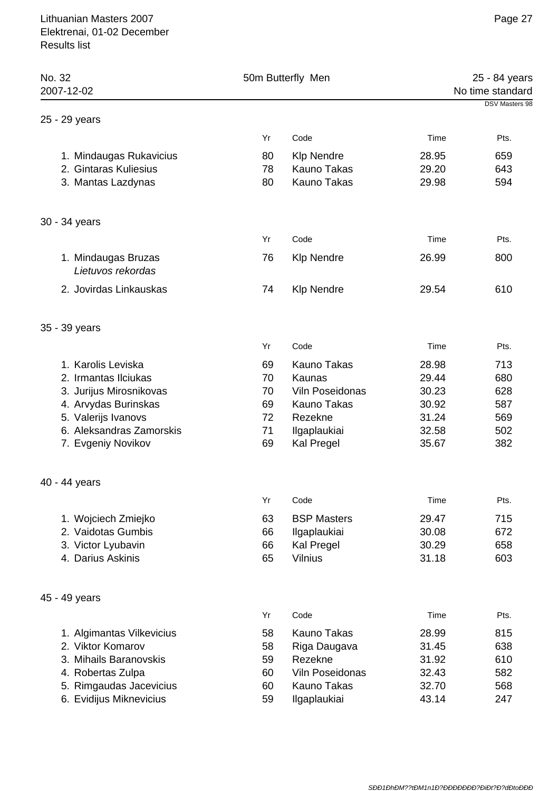| No. 32<br>2007-12-02                     | 50m Butterfly Men |                    |       | 25 - 84 years<br>No time standard |  |  |
|------------------------------------------|-------------------|--------------------|-------|-----------------------------------|--|--|
| 25 - 29 years                            |                   |                    |       | DSV Masters 98                    |  |  |
|                                          | Yr                | Code               | Time  | Pts.                              |  |  |
| 1. Mindaugas Rukavicius                  | 80                | <b>Klp Nendre</b>  | 28.95 | 659                               |  |  |
| 2. Gintaras Kuliesius                    | 78                | <b>Kauno Takas</b> | 29.20 | 643                               |  |  |
| 3. Mantas Lazdynas                       | 80                | Kauno Takas        | 29.98 | 594                               |  |  |
| 30 - 34 years                            |                   |                    |       |                                   |  |  |
|                                          | Yr                | Code               | Time  | Pts.                              |  |  |
| 1. Mindaugas Bruzas<br>Lietuvos rekordas | 76                | <b>Klp Nendre</b>  | 26.99 | 800                               |  |  |
| 2. Jovirdas Linkauskas                   | 74                | <b>Klp Nendre</b>  | 29.54 | 610                               |  |  |
| 35 - 39 years                            |                   |                    |       |                                   |  |  |
|                                          | Yr                | Code               | Time  | Pts.                              |  |  |
| 1. Karolis Leviska                       | 69                | <b>Kauno Takas</b> | 28.98 | 713                               |  |  |
| 2. Irmantas Ilciukas                     | 70                | Kaunas             | 29.44 | 680                               |  |  |
| 3. Jurijus Mirosnikovas                  | 70                | Viln Poseidonas    | 30.23 | 628                               |  |  |
| 4. Arvydas Burinskas                     | 69                | Kauno Takas        | 30.92 | 587                               |  |  |
| 5. Valerijs Ivanovs                      | 72                | Rezekne            | 31.24 | 569                               |  |  |
| 6. Aleksandras Zamorskis                 | 71                | Ilgaplaukiai       | 32.58 | 502                               |  |  |
| 7. Evgeniy Novikov                       | 69                | <b>Kal Pregel</b>  | 35.67 | 382                               |  |  |
| 40 - 44 years                            |                   |                    |       |                                   |  |  |
|                                          | Yr                | Code               | Time  | Pts.                              |  |  |
| 1. Wojciech Zmiejko                      | 63                | <b>BSP Masters</b> | 29.47 | 715                               |  |  |
| 2. Vaidotas Gumbis                       | 66                | Ilgaplaukiai       | 30.08 | 672                               |  |  |
| 3. Victor Lyubavin                       | 66                | Kal Pregel         | 30.29 | 658                               |  |  |
| 4. Darius Askinis                        | 65                | <b>Vilnius</b>     | 31.18 | 603                               |  |  |
| 45 - 49 years                            |                   |                    |       |                                   |  |  |
|                                          | Yr                | Code               | Time  | Pts.                              |  |  |
| 1. Algimantas Vilkevicius                | 58                | <b>Kauno Takas</b> | 28.99 | 815                               |  |  |
| 2. Viktor Komarov                        | 58                | Riga Daugava       | 31.45 | 638                               |  |  |
| 3. Mihails Baranovskis                   | 59                | Rezekne            | 31.92 | 610                               |  |  |
| 4. Robertas Zulpa                        | 60                | Viln Poseidonas    | 32.43 | 582                               |  |  |
| 5. Rimgaudas Jacevicius                  | 60                | Kauno Takas        | 32.70 | 568                               |  |  |
| 6. Evidijus Miknevicius                  | 59                | Ilgaplaukiai       | 43.14 | 247                               |  |  |
|                                          |                   |                    |       |                                   |  |  |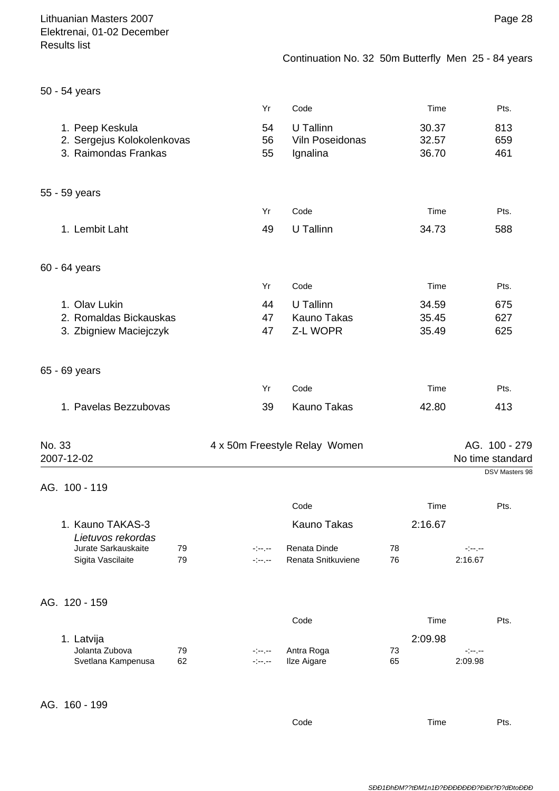| 50 - 54 years                                                         |                |                                          |                         |                                                                                                                                                                    |
|-----------------------------------------------------------------------|----------------|------------------------------------------|-------------------------|--------------------------------------------------------------------------------------------------------------------------------------------------------------------|
|                                                                       | Yr             | Code                                     | Time                    | Pts.                                                                                                                                                               |
| 1. Peep Keskula<br>2. Sergejus Kolokolenkovas<br>3. Raimondas Frankas | 54<br>56<br>55 | U Tallinn<br>Viln Poseidonas<br>Ignalina | 30.37<br>32.57<br>36.70 | 813<br>659<br>461                                                                                                                                                  |
| 55 - 59 years                                                         |                |                                          |                         |                                                                                                                                                                    |
|                                                                       | Yr             | Code                                     | Time                    | Pts.                                                                                                                                                               |
| 1. Lembit Laht                                                        | 49             | U Tallinn                                | 34.73                   | 588                                                                                                                                                                |
| 60 - 64 years                                                         |                |                                          |                         |                                                                                                                                                                    |
|                                                                       | Yr             | Code                                     | Time                    | Pts.                                                                                                                                                               |
| 1. Olav Lukin                                                         | 44             | U Tallinn                                | 34.59                   | 675                                                                                                                                                                |
| 2. Romaldas Bickauskas                                                | 47             | Kauno Takas                              | 35.45                   | 627                                                                                                                                                                |
| 3. Zbigniew Maciejczyk                                                | 47             | Z-L WOPR                                 | 35.49                   | 625                                                                                                                                                                |
| 65 - 69 years                                                         |                |                                          |                         |                                                                                                                                                                    |
|                                                                       | Yr             | Code                                     | Time                    | Pts.                                                                                                                                                               |
| 1. Pavelas Bezzubovas                                                 | 39             | <b>Kauno Takas</b>                       | 42.80                   | 413                                                                                                                                                                |
| No. 33                                                                |                | 4 x 50m Freestyle Relay Women            |                         | AG. 100 - 279                                                                                                                                                      |
| 2007-12-02                                                            |                |                                          |                         | No time standard<br>DSV Masters 98                                                                                                                                 |
| AG. 100 - 119                                                         |                |                                          |                         |                                                                                                                                                                    |
|                                                                       |                | Code                                     | Time                    | Pts.                                                                                                                                                               |
| 1. Kauno TAKAS-3<br>Lietuvos rekordas                                 |                | Kauno Takas                              | 2:16.67                 |                                                                                                                                                                    |
| Jurate Sarkauskaite<br>79                                             | المواردة       | Renata Dinde                             | 78                      | $\label{eq:3} \frac{1}{2} \left( \frac{1}{2} \left( \frac{1}{2} \right) + \frac{1}{2} \left( \frac{1}{2} \right) + \frac{1}{2} \left( \frac{1}{2} \right) \right)$ |
| Sigita Vascilaite<br>79                                               | مترجين         | Renata Snitkuviene                       | 76                      | 2:16.67                                                                                                                                                            |
| AG. 120 - 159                                                         |                |                                          |                         |                                                                                                                                                                    |
|                                                                       |                | Code                                     | Time                    | Pts.                                                                                                                                                               |
| 1. Latvija                                                            |                |                                          | 2:09.98                 |                                                                                                                                                                    |
| Jolanta Zubova<br>79<br>Svetlana Kampenusa<br>62                      | ringer.        | Antra Roga<br>Ilze Aigare                | 73<br>65                | $\sim 10^{11}$ , $\sim 10^{11}$<br>2:09.98                                                                                                                         |
|                                                                       | alan an        |                                          |                         |                                                                                                                                                                    |
| AG. 160 - 199                                                         |                |                                          |                         |                                                                                                                                                                    |

Code Time Pts.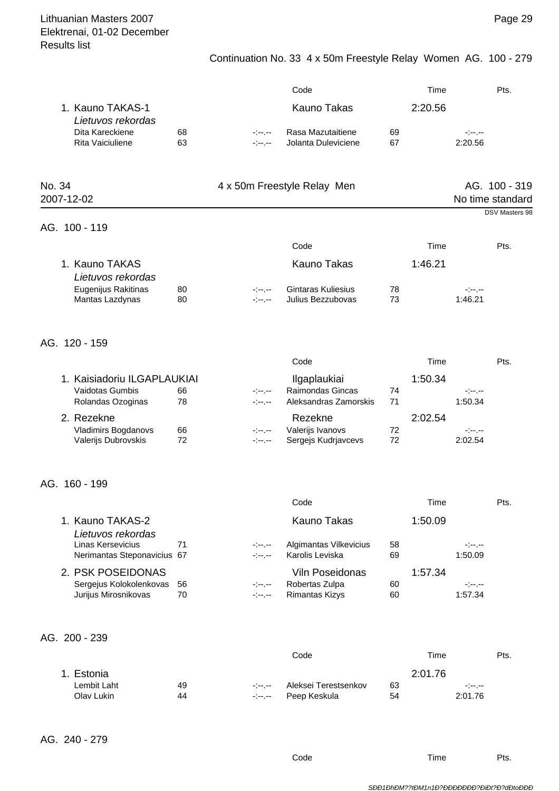# Continuation No. 33 4 x 50m Freestyle Relay Women AG. 100 - 279

|        |                                                                      |          |                                                                                                                                                                                                                                                                                                                                          | Code                                                       |          | Time    |                     | Pts.                              |
|--------|----------------------------------------------------------------------|----------|------------------------------------------------------------------------------------------------------------------------------------------------------------------------------------------------------------------------------------------------------------------------------------------------------------------------------------------|------------------------------------------------------------|----------|---------|---------------------|-----------------------------------|
|        | 1. Kauno TAKAS-1                                                     |          |                                                                                                                                                                                                                                                                                                                                          | <b>Kauno Takas</b>                                         |          | 2:20.56 |                     |                                   |
|        | Lietuvos rekordas<br>Dita Kareckiene<br>Rita Vaiciuliene             | 68<br>63 | المواردة<br>المواجزة                                                                                                                                                                                                                                                                                                                     | Rasa Mazutaitiene<br>Jolanta Duleviciene                   | 69<br>67 |         | atan jau<br>2:20.56 |                                   |
| No. 34 | 2007-12-02                                                           |          |                                                                                                                                                                                                                                                                                                                                          | 4 x 50m Freestyle Relay Men                                |          |         |                     | AG. 100 - 319<br>No time standard |
|        | AG. 100 - 119                                                        |          |                                                                                                                                                                                                                                                                                                                                          |                                                            |          |         |                     | DSV Masters 98                    |
|        |                                                                      |          |                                                                                                                                                                                                                                                                                                                                          | Code                                                       |          | Time    |                     | Pts.                              |
|        | 1. Kauno TAKAS<br>Lietuvos rekordas                                  |          |                                                                                                                                                                                                                                                                                                                                          | <b>Kauno Takas</b>                                         |          | 1:46.21 |                     |                                   |
|        | Eugenijus Rakitinas<br>Mantas Lazdynas                               | 80<br>80 | المواردة<br>معرضهم                                                                                                                                                                                                                                                                                                                       | <b>Gintaras Kuliesius</b><br>Julius Bezzubovas             | 78<br>73 |         | -1-1-<br>1:46.21    |                                   |
|        | AG. 120 - 159                                                        |          |                                                                                                                                                                                                                                                                                                                                          |                                                            |          |         |                     |                                   |
|        |                                                                      |          |                                                                                                                                                                                                                                                                                                                                          | Code                                                       |          | Time    |                     | Pts.                              |
|        | 1. Kaisiadoriu ILGAPLAUKIAI<br>Vaidotas Gumbis<br>Rolandas Ozoginas  | 66<br>78 | -1-1-<br>$\label{eq:2.1} \frac{1}{2} \left( \frac{1}{2} \left( \frac{1}{2} \right) + \frac{1}{2} \left( \frac{1}{2} \right) + \frac{1}{2} \left( \frac{1}{2} \right) \right)$                                                                                                                                                            | Ilgaplaukiai<br>Raimondas Gincas<br>Aleksandras Zamorskis  | 74<br>71 | 1:50.34 | معرضهم<br>1:50.34   |                                   |
|        | 2. Rezekne<br>Vladimirs Bogdanovs<br>Valerijs Dubrovskis             | 66<br>72 | $\label{eq:2} \frac{1}{2} \left( \frac{1}{2} \left( \frac{1}{2} \right) + \frac{1}{2} \left( \frac{1}{2} \right) + \frac{1}{2} \left( \frac{1}{2} \right) \right)$<br>$\label{eq:2} \frac{1}{2} \left( \frac{1}{2} \left( \frac{1}{2} \right) + \frac{1}{2} \left( \frac{1}{2} \right) + \frac{1}{2} \left( \frac{1}{2} \right) \right)$ | Rezekne<br>Valerijs Ivanovs<br>Sergejs Kudrjavcevs         | 72<br>72 | 2:02.54 | معرضة و<br>2:02.54  |                                   |
|        | AG. 160 - 199                                                        |          |                                                                                                                                                                                                                                                                                                                                          |                                                            |          |         |                     |                                   |
|        |                                                                      |          |                                                                                                                                                                                                                                                                                                                                          | Code                                                       |          | Time    |                     | Pts.                              |
|        | 1. Kauno TAKAS-2<br>Lietuvos rekordas                                |          |                                                                                                                                                                                                                                                                                                                                          | <b>Kauno Takas</b>                                         |          | 1:50.09 |                     |                                   |
|        | Linas Kersevicius<br>Nerimantas Steponavicius 67                     | 71       | -1-1-<br>معرضة                                                                                                                                                                                                                                                                                                                           | Algimantas Vilkevicius<br>Karolis Leviska                  | 58<br>69 |         | -1--1--<br>1:50.09  |                                   |
|        | 2. PSK POSEIDONAS<br>Sergejus Kolokolenkovas<br>Jurijus Mirosnikovas | 56<br>70 | -b-le<br>-1--1--                                                                                                                                                                                                                                                                                                                         | Viln Poseidonas<br>Robertas Zulpa<br><b>Rimantas Kizys</b> | 60<br>60 | 1:57.34 | -1--1--<br>1:57.34  |                                   |
|        | AG. 200 - 239                                                        |          |                                                                                                                                                                                                                                                                                                                                          |                                                            |          |         |                     |                                   |
|        |                                                                      |          |                                                                                                                                                                                                                                                                                                                                          | Code                                                       |          | Time    |                     | Pts.                              |
|        | 1. Estonia<br>Lembit Laht<br>Olav Lukin                              | 49<br>44 | -)--,--<br>-1--1--                                                                                                                                                                                                                                                                                                                       | Aleksei Terestsenkov<br>Peep Keskula                       | 63<br>54 | 2:01.76 | -1-1-<br>2:01.76    |                                   |

Code Time Pts.

SÐÐ1ÐhÐM??tÐM1n1Ð?ÐÐÐÐÐÐÐ?ÐiÐt?Ð?dÐtoÐÐÐ